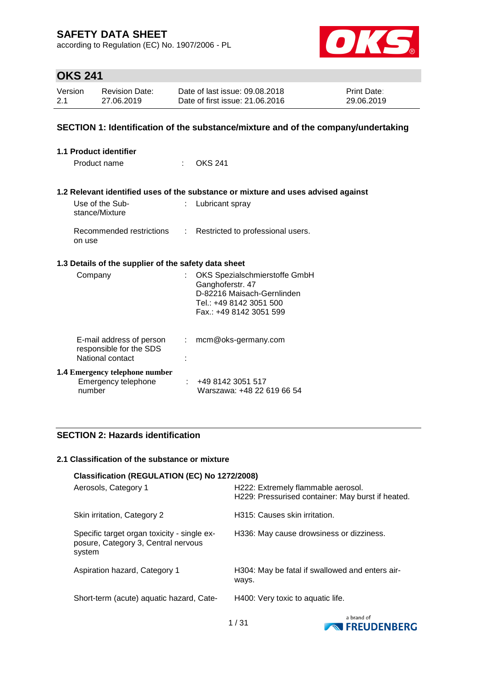according to Regulation (EC) No. 1907/2006 - PL



# **OKS 241**

| Version | <b>Revision Date:</b> | Date of last issue: 09.08.2018  | <b>Print Date:</b> |
|---------|-----------------------|---------------------------------|--------------------|
| 2.1     | 27.06.2019            | Date of first issue: 21,06,2016 | 29.06.2019         |

### **SECTION 1: Identification of the substance/mixture and of the company/undertaking**

| 1.1 Product identifier                                                  |      |                                                                                                                                      |  |  |
|-------------------------------------------------------------------------|------|--------------------------------------------------------------------------------------------------------------------------------------|--|--|
| Product name                                                            | t in | <b>OKS 241</b>                                                                                                                       |  |  |
|                                                                         |      |                                                                                                                                      |  |  |
|                                                                         |      | 1.2 Relevant identified uses of the substance or mixture and uses advised against                                                    |  |  |
| Use of the Sub-<br>stance/Mixture                                       | t.   | Lubricant spray                                                                                                                      |  |  |
| Recommended restrictions<br>on use                                      |      | : Restricted to professional users.                                                                                                  |  |  |
| 1.3 Details of the supplier of the safety data sheet                    |      |                                                                                                                                      |  |  |
| Company                                                                 |      | OKS Spezialschmierstoffe GmbH<br>Ganghoferstr. 47<br>D-82216 Maisach-Gernlinden<br>Tel.: +49 8142 3051 500<br>Fax: +49 8142 3051 599 |  |  |
| E-mail address of person<br>responsible for the SDS<br>National contact | ÷.   | mcm@oks-germany.com                                                                                                                  |  |  |
| <b>1.4 Emergency telephone number</b><br>Emergency telephone<br>number  |      | +49 8142 3051 517<br>Warszawa: +48 22 619 66 54                                                                                      |  |  |

### **SECTION 2: Hazards identification**

#### **2.1 Classification of the substance or mixture**

| Classification (REGULATION (EC) No 1272/2008)                                                |                                                                                         |  |  |  |
|----------------------------------------------------------------------------------------------|-----------------------------------------------------------------------------------------|--|--|--|
| Aerosols, Category 1                                                                         | H222: Extremely flammable aerosol.<br>H229: Pressurised container: May burst if heated. |  |  |  |
| Skin irritation, Category 2                                                                  | H315: Causes skin irritation.                                                           |  |  |  |
| Specific target organ toxicity - single ex-<br>posure, Category 3, Central nervous<br>system | H336: May cause drowsiness or dizziness.                                                |  |  |  |
| Aspiration hazard, Category 1                                                                | H304: May be fatal if swallowed and enters air-<br>ways.                                |  |  |  |
| Short-term (acute) aquatic hazard, Cate-                                                     | H400: Very toxic to aquatic life.                                                       |  |  |  |

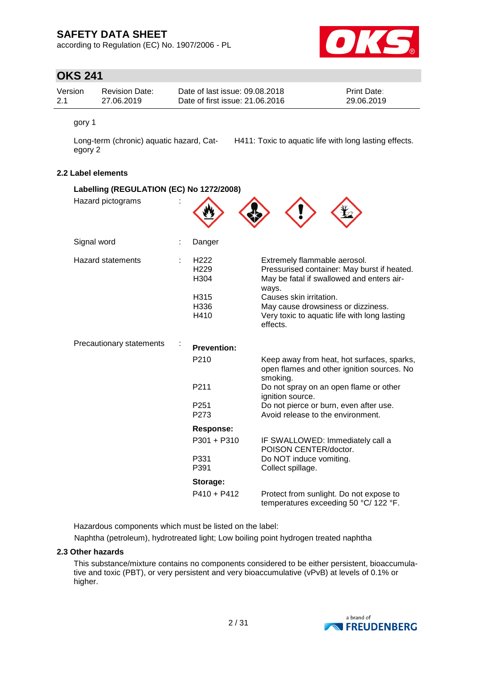according to Regulation (EC) No. 1907/2006 - PL



## **OKS 241**

| Version | Revision Date: | Date of last issue: 09.08.2018  | <b>Print Date:</b> |
|---------|----------------|---------------------------------|--------------------|
| 2.1     | 27.06.2019     | Date of first issue: 21,06,2016 | 29.06.2019         |

gory 1

Long-term (chronic) aquatic hazard, Category 2

H411: Toxic to aquatic life with long lasting effects.

### **2.2 Label elements**

| Labelling (REGULATION (EC) No 1272/2008) |                                                                      |                                                                                                                                                                                                                                                                |
|------------------------------------------|----------------------------------------------------------------------|----------------------------------------------------------------------------------------------------------------------------------------------------------------------------------------------------------------------------------------------------------------|
| Hazard pictograms                        |                                                                      |                                                                                                                                                                                                                                                                |
| Signal word                              | Danger                                                               |                                                                                                                                                                                                                                                                |
| <b>Hazard statements</b>                 | H <sub>222</sub><br>H <sub>229</sub><br>H304<br>H315<br>H336<br>H410 | Extremely flammable aerosol.<br>Pressurised container: May burst if heated.<br>May be fatal if swallowed and enters air-<br>ways.<br>Causes skin irritation.<br>May cause drowsiness or dizziness.<br>Very toxic to aquatic life with long lasting<br>effects. |
| Precautionary statements                 | <b>Prevention:</b>                                                   |                                                                                                                                                                                                                                                                |
|                                          | P210                                                                 | Keep away from heat, hot surfaces, sparks,<br>open flames and other ignition sources. No<br>smoking.                                                                                                                                                           |
|                                          | P <sub>211</sub>                                                     | Do not spray on an open flame or other<br>ignition source.                                                                                                                                                                                                     |
|                                          | P <sub>251</sub><br>P273                                             | Do not pierce or burn, even after use.<br>Avoid release to the environment.                                                                                                                                                                                    |
|                                          | Response:                                                            |                                                                                                                                                                                                                                                                |
|                                          | P301 + P310                                                          | IF SWALLOWED: Immediately call a<br>POISON CENTER/doctor.                                                                                                                                                                                                      |
|                                          | P331<br>P391                                                         | Do NOT induce vomiting.<br>Collect spillage.                                                                                                                                                                                                                   |
|                                          | Storage:                                                             |                                                                                                                                                                                                                                                                |
|                                          | $P410 + P412$                                                        | Protect from sunlight. Do not expose to<br>temperatures exceeding 50 °C/ 122 °F.                                                                                                                                                                               |

Hazardous components which must be listed on the label:

Naphtha (petroleum), hydrotreated light; Low boiling point hydrogen treated naphtha

### **2.3 Other hazards**

This substance/mixture contains no components considered to be either persistent, bioaccumulative and toxic (PBT), or very persistent and very bioaccumulative (vPvB) at levels of 0.1% or higher.

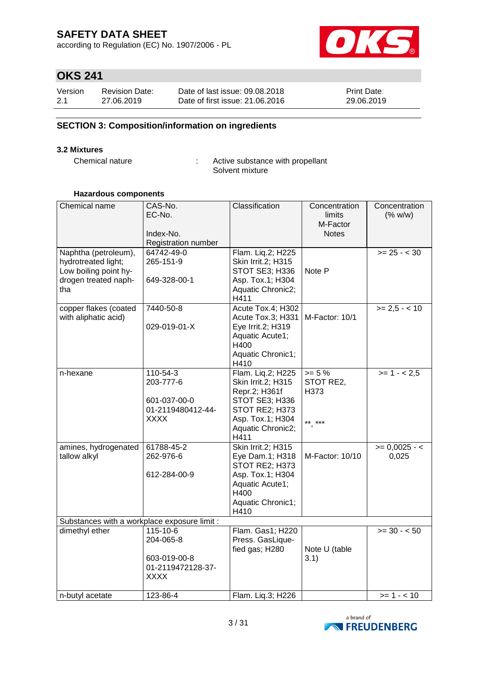according to Regulation (EC) No. 1907/2006 - PL



# **OKS 241**

| Version | <b>Revision Date:</b> | Date of last issue: 09.08.2018  | <b>Print Date:</b> |
|---------|-----------------------|---------------------------------|--------------------|
| 2.1     | 27.06.2019            | Date of first issue: 21,06,2016 | 29.06.2019         |

### **SECTION 3: Composition/information on ingredients**

#### **3.2 Mixtures**

Chemical nature : Active substance with propellant Solvent mixture

#### **Hazardous components**

| Chemical name                                                                                       | CAS-No.<br>EC-No.<br>Index-No.<br>Registration number                     | Classification                                                                                                                                | Concentration<br>limits<br>M-Factor<br><b>Notes</b> | Concentration<br>(% w/w) |
|-----------------------------------------------------------------------------------------------------|---------------------------------------------------------------------------|-----------------------------------------------------------------------------------------------------------------------------------------------|-----------------------------------------------------|--------------------------|
| Naphtha (petroleum),<br>hydrotreated light;<br>Low boiling point hy-<br>drogen treated naph-<br>tha | 64742-49-0<br>265-151-9<br>649-328-00-1                                   | Flam. Liq.2; H225<br>Skin Irrit.2; H315<br>STOT SE3; H336<br>Asp. Tox.1; H304<br>Aquatic Chronic2;<br>H411                                    | Note P                                              | $>= 25 - < 30$           |
| copper flakes (coated<br>with aliphatic acid)                                                       | 7440-50-8<br>029-019-01-X                                                 | Acute Tox.4; H302<br>Acute Tox.3; H331   M-Factor: 10/1<br>Eye Irrit.2; H319<br>Aquatic Acute1;<br>H400<br>Aquatic Chronic1;<br>H410          |                                                     | $>= 2,5 - < 10$          |
| n-hexane                                                                                            | 110-54-3<br>203-777-6<br>601-037-00-0<br>01-2119480412-44-<br><b>XXXX</b> | Flam. Liq.2; H225<br>Skin Irrit.2; H315<br>Repr.2; H361f<br>STOT SE3; H336<br>STOT RE2; H373<br>Asp. Tox.1; H304<br>Aquatic Chronic2;<br>H411 | $>= 5%$<br>STOT RE2,<br>H373<br>** ***              | $>= 1 - 2.5$             |
| amines, hydrogenated<br>tallow alkyl                                                                | 61788-45-2<br>262-976-6<br>612-284-00-9                                   | Skin Irrit.2; H315<br>Eye Dam.1; H318<br>STOT RE2; H373<br>Asp. Tox.1; H304<br>Aquatic Acute1;<br>H400<br>Aquatic Chronic1;<br>H410           | M-Factor: 10/10                                     | $>= 0,0025 - 5$<br>0,025 |
| Substances with a workplace exposure limit :                                                        |                                                                           |                                                                                                                                               |                                                     |                          |
| dimethyl ether                                                                                      | 115-10-6<br>204-065-8<br>603-019-00-8<br>01-2119472128-37-<br><b>XXXX</b> | Flam. Gas1; H220<br>Press. GasLique-<br>fied gas; H280                                                                                        | Note U (table<br>3.1)                               | $>= 30 - 50$             |
| n-butyl acetate                                                                                     | 123-86-4                                                                  | Flam. Liq.3; H226                                                                                                                             |                                                     | $>= 1 - 10$              |

![](_page_2_Picture_11.jpeg)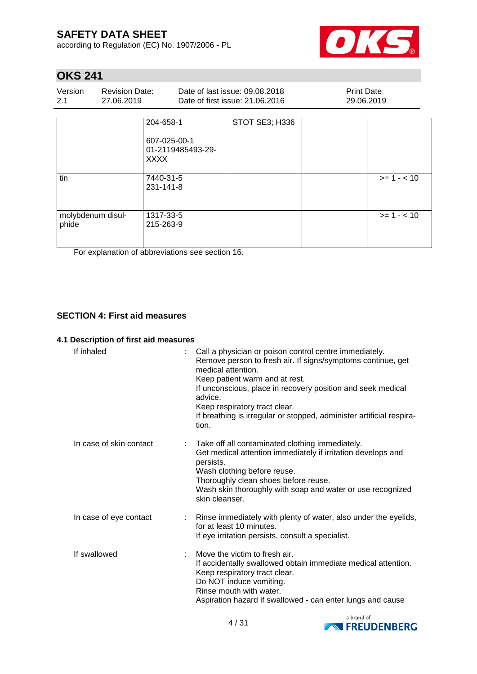according to Regulation (EC) No. 1907/2006 - PL

![](_page_3_Picture_2.jpeg)

# **OKS 241**

| Version<br>2.1             | <b>Revision Date:</b><br>27.06.2019 |                                                                                         | Date of last issue: 09.08.2018<br>Date of first issue: 21.06.2016 | Print Date:<br>29.06.2019 |             |
|----------------------------|-------------------------------------|-----------------------------------------------------------------------------------------|-------------------------------------------------------------------|---------------------------|-------------|
| tin                        |                                     | 204-658-1<br>607-025-00-1<br>01-2119485493-29-<br><b>XXXX</b><br>7440-31-5<br>231-141-8 | STOT SE3; H336                                                    |                           | $>= 1 - 10$ |
| molybdenum disul-<br>phide |                                     | 1317-33-5<br>215-263-9                                                                  |                                                                   |                           | $>= 1 - 10$ |

For explanation of abbreviations see section 16.

### **SECTION 4: First aid measures**

#### **4.1 Description of first aid measures**

| If inhaled              | Call a physician or poison control centre immediately.<br>Remove person to fresh air. If signs/symptoms continue, get<br>medical attention.<br>Keep patient warm and at rest.<br>If unconscious, place in recovery position and seek medical<br>advice.<br>Keep respiratory tract clear.<br>If breathing is irregular or stopped, administer artificial respira-<br>tion. |
|-------------------------|---------------------------------------------------------------------------------------------------------------------------------------------------------------------------------------------------------------------------------------------------------------------------------------------------------------------------------------------------------------------------|
| In case of skin contact | Take off all contaminated clothing immediately.<br>Get medical attention immediately if irritation develops and<br>persists.<br>Wash clothing before reuse.<br>Thoroughly clean shoes before reuse.<br>Wash skin thoroughly with soap and water or use recognized<br>skin cleanser.                                                                                       |
| In case of eye contact  | : Rinse immediately with plenty of water, also under the eyelids,<br>for at least 10 minutes.<br>If eye irritation persists, consult a specialist.                                                                                                                                                                                                                        |
| If swallowed            | Move the victim to fresh air.<br>If accidentally swallowed obtain immediate medical attention.<br>Keep respiratory tract clear.<br>Do NOT induce vomiting.<br>Rinse mouth with water.<br>Aspiration hazard if swallowed - can enter lungs and cause                                                                                                                       |

![](_page_3_Picture_9.jpeg)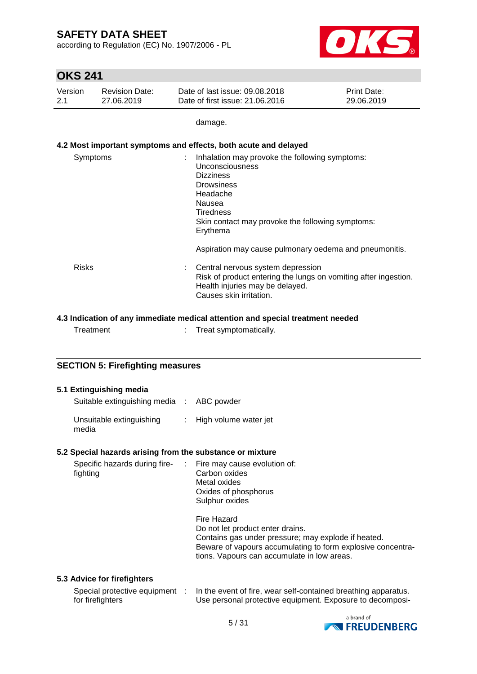according to Regulation (EC) No. 1907/2006 - PL

![](_page_4_Picture_2.jpeg)

## **OKS 241**

| Version | Revision Date: | Date of last issue: 09.08.2018  | <b>Print Date:</b> |
|---------|----------------|---------------------------------|--------------------|
| 2.1     | 27.06.2019     | Date of first issue: 21,06,2016 | 29.06.2019         |

damage.

### **4.2 Most important symptoms and effects, both acute and delayed**

| Symptoms     | Inhalation may provoke the following symptoms:<br>Unconsciousness<br><b>Dizziness</b><br><b>Drowsiness</b><br>Headache<br>Nausea<br>Tiredness<br>Skin contact may provoke the following symptoms:<br>Erythema |
|--------------|---------------------------------------------------------------------------------------------------------------------------------------------------------------------------------------------------------------|
|              | Aspiration may cause pulmonary oedema and pneumonitis.                                                                                                                                                        |
| <b>Risks</b> | Central nervous system depression<br>Risk of product entering the lungs on vomiting after ingestion.<br>Health injuries may be delayed.<br>Causes skin irritation.                                            |

### **4.3 Indication of any immediate medical attention and special treatment needed**

| Treatment | Treat symptomatically. |
|-----------|------------------------|
|           |                        |

### **SECTION 5: Firefighting measures**

#### **5.1 Extinguishing media**

| Suitable extinguishing media : ABC powder |                         |
|-------------------------------------------|-------------------------|
| Unsuitable extinguishing<br>media         | : High volume water jet |

#### **5.2 Special hazards arising from the substance or mixture**

| Specific hazards during fire-<br>fighting | $\therefore$ Fire may cause evolution of:<br>Carbon oxides<br>Metal oxides<br>Oxides of phosphorus<br>Sulphur oxides                                                                                                 |
|-------------------------------------------|----------------------------------------------------------------------------------------------------------------------------------------------------------------------------------------------------------------------|
|                                           | Fire Hazard<br>Do not let product enter drains.<br>Contains gas under pressure; may explode if heated.<br>Beware of vapours accumulating to form explosive concentra-<br>tions. Vapours can accumulate in low areas. |
| .                                         |                                                                                                                                                                                                                      |

### **5.3 Advice for firefighters**

| Special protective equipment | In the event of fire, wear self-contained breathing apparatus. |
|------------------------------|----------------------------------------------------------------|
| for firefighters             | Use personal protective equipment. Exposure to decomposi-      |

![](_page_4_Picture_17.jpeg)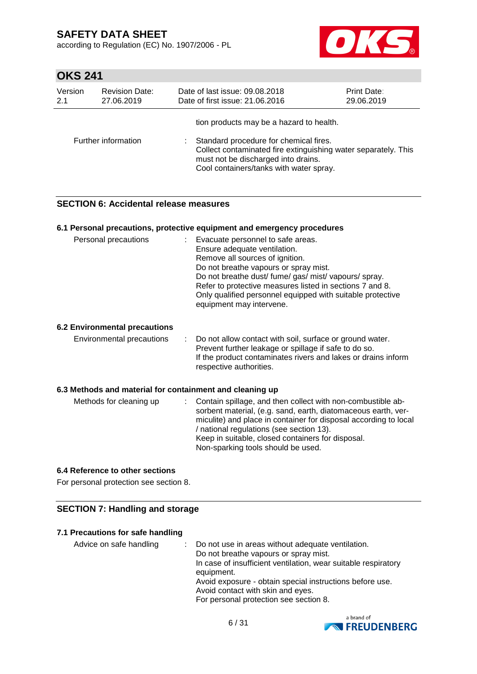according to Regulation (EC) No. 1907/2006 - PL

![](_page_5_Picture_2.jpeg)

## **OKS 241**

| Version | <b>Revision Date:</b> | Date of last issue: 09.08.2018                                                                                                                                                                                                         | <b>Print Date:</b> |
|---------|-----------------------|----------------------------------------------------------------------------------------------------------------------------------------------------------------------------------------------------------------------------------------|--------------------|
| 2.1     | 27.06.2019            | Date of first issue: 21.06.2016                                                                                                                                                                                                        | 29.06.2019         |
|         | Further information   | tion products may be a hazard to health.<br>Standard procedure for chemical fires.<br>Collect contaminated fire extinguishing water separately. This<br>must not be discharged into drains.<br>Cool containers/tanks with water spray. |                    |

### **SECTION 6: Accidental release measures**

#### **6.1 Personal precautions, protective equipment and emergency procedures**

| Personal precautions                 | : Evacuate personnel to safe areas.<br>Ensure adequate ventilation.<br>Remove all sources of ignition.<br>Do not breathe vapours or spray mist.<br>Do not breathe dust/ fume/ gas/ mist/ vapours/ spray.<br>Refer to protective measures listed in sections 7 and 8.<br>Only qualified personnel equipped with suitable protective<br>equipment may intervene. |
|--------------------------------------|----------------------------------------------------------------------------------------------------------------------------------------------------------------------------------------------------------------------------------------------------------------------------------------------------------------------------------------------------------------|
| <b>6.2 Environmental precautions</b> |                                                                                                                                                                                                                                                                                                                                                                |
| Environmental precautions            | : Do not allow contact with soil, surface or ground water.<br>Prevent further leakage or spillage if safe to do so.<br>If the product contaminates rivers and lakes or drains inform<br>respective authorities.                                                                                                                                                |
|                                      |                                                                                                                                                                                                                                                                                                                                                                |

#### **6.3 Methods and material for containment and cleaning up**

| Methods for cleaning up |  | : Contain spillage, and then collect with non-combustible ab-<br>sorbent material, (e.g. sand, earth, diatomaceous earth, ver-<br>miculite) and place in container for disposal according to local<br>/ national regulations (see section 13).<br>Keep in suitable, closed containers for disposal.<br>Non-sparking tools should be used. |
|-------------------------|--|-------------------------------------------------------------------------------------------------------------------------------------------------------------------------------------------------------------------------------------------------------------------------------------------------------------------------------------------|
|-------------------------|--|-------------------------------------------------------------------------------------------------------------------------------------------------------------------------------------------------------------------------------------------------------------------------------------------------------------------------------------------|

#### **6.4 Reference to other sections**

For personal protection see section 8.

### **SECTION 7: Handling and storage**

#### **7.1 Precautions for safe handling**

Advice on safe handling : Do not use in areas without adequate ventilation. Do not breathe vapours or spray mist. In case of insufficient ventilation, wear suitable respiratory equipment. Avoid exposure - obtain special instructions before use. Avoid contact with skin and eyes. For personal protection see section 8.

![](_page_5_Picture_15.jpeg)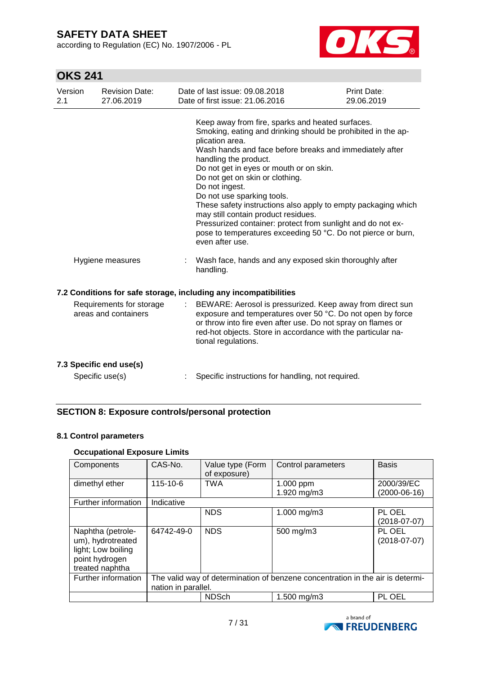according to Regulation (EC) No. 1907/2006 - PL

![](_page_6_Picture_2.jpeg)

# **OKS 241**

| Version<br>2.1 | <b>Revision Date:</b><br>27.06.2019              | Date of last issue: 09.08.2018<br>Date of first issue: 21.06.2016                                                                                                                                                                                                                                                                                                                                                                                                                                                                                                                                               | Print Date:<br>29.06.2019 |
|----------------|--------------------------------------------------|-----------------------------------------------------------------------------------------------------------------------------------------------------------------------------------------------------------------------------------------------------------------------------------------------------------------------------------------------------------------------------------------------------------------------------------------------------------------------------------------------------------------------------------------------------------------------------------------------------------------|---------------------------|
|                |                                                  | Keep away from fire, sparks and heated surfaces.<br>Smoking, eating and drinking should be prohibited in the ap-<br>plication area.<br>Wash hands and face before breaks and immediately after<br>handling the product.<br>Do not get in eyes or mouth or on skin.<br>Do not get on skin or clothing.<br>Do not ingest.<br>Do not use sparking tools.<br>These safety instructions also apply to empty packaging which<br>may still contain product residues.<br>Pressurized container: protect from sunlight and do not ex-<br>pose to temperatures exceeding 50 °C. Do not pierce or burn,<br>even after use. |                           |
|                | Hygiene measures                                 | Wash face, hands and any exposed skin thoroughly after<br>÷<br>handling.                                                                                                                                                                                                                                                                                                                                                                                                                                                                                                                                        |                           |
|                |                                                  | 7.2 Conditions for safe storage, including any incompatibilities                                                                                                                                                                                                                                                                                                                                                                                                                                                                                                                                                |                           |
|                | Requirements for storage<br>areas and containers | BEWARE: Aerosol is pressurized. Keep away from direct sun<br>$\mathbb{Z}^{\mathbb{Z}}$<br>exposure and temperatures over 50 °C. Do not open by force<br>or throw into fire even after use. Do not spray on flames or<br>red-hot objects. Store in accordance with the particular na-<br>tional regulations.                                                                                                                                                                                                                                                                                                     |                           |
|                | 7.3 Specific end use(s)                          |                                                                                                                                                                                                                                                                                                                                                                                                                                                                                                                                                                                                                 |                           |
|                | Specific use(s)                                  | Specific instructions for handling, not required.                                                                                                                                                                                                                                                                                                                                                                                                                                                                                                                                                               |                           |

### **SECTION 8: Exposure controls/personal protection**

### **8.1 Control parameters**

### **Occupational Exposure Limits**

| Components                                                                                        | CAS-No.             | Value type (Form<br>of exposure) | Control parameters                                                             | <b>Basis</b>                 |
|---------------------------------------------------------------------------------------------------|---------------------|----------------------------------|--------------------------------------------------------------------------------|------------------------------|
| dimethyl ether                                                                                    | $115 - 10 - 6$      | <b>TWA</b>                       | 1.000 ppm<br>1.920 mg/m3                                                       | 2000/39/EC<br>$(2000-06-16)$ |
| Further information                                                                               | Indicative          |                                  |                                                                                |                              |
|                                                                                                   |                     | <b>NDS</b>                       | 1.000 mg/m3                                                                    | PL OEL<br>$(2018-07-07)$     |
| Naphtha (petrole-<br>um), hydrotreated<br>light; Low boiling<br>point hydrogen<br>treated naphtha | 64742-49-0          | <b>NDS</b>                       | 500 mg/m3                                                                      | PL OEL<br>$(2018-07-07)$     |
| Further information                                                                               | nation in parallel. |                                  | The valid way of determination of benzene concentration in the air is determi- |                              |
|                                                                                                   |                     | <b>NDSch</b>                     | 1.500 mg/m3                                                                    | PL OEL                       |

![](_page_6_Picture_9.jpeg)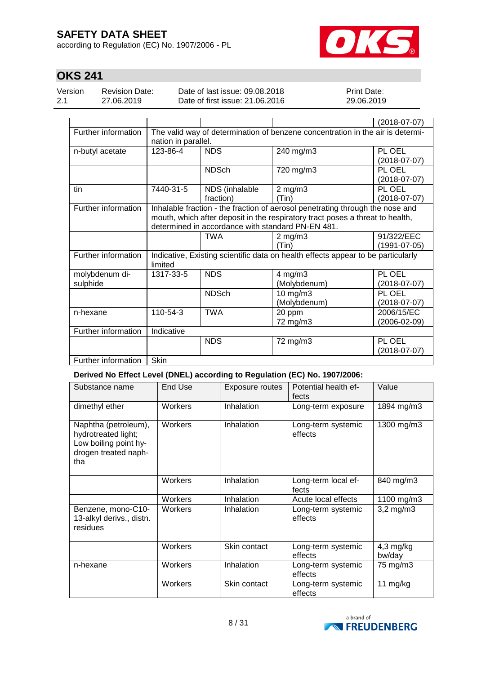according to Regulation (EC) No. 1907/2006 - PL

![](_page_7_Picture_2.jpeg)

# **OKS 241**

| Version | Revision Date: | Date of last issue: 09.08.2018  | <b>Print Date:</b> |
|---------|----------------|---------------------------------|--------------------|
| 2.1     | 27.06.2019     | Date of first issue: 21.06.2016 | 29.06.2019         |

|                            |                     |                             |                                                                                                                                                                                                                     | $(2018-07-07)$             |
|----------------------------|---------------------|-----------------------------|---------------------------------------------------------------------------------------------------------------------------------------------------------------------------------------------------------------------|----------------------------|
| Further information        | nation in parallel. |                             | The valid way of determination of benzene concentration in the air is determi-                                                                                                                                      |                            |
| n-butyl acetate            | 123-86-4            | <b>NDS</b>                  | 240 mg/m3                                                                                                                                                                                                           | PL OEL<br>$(2018-07-07)$   |
|                            |                     | <b>NDSch</b>                | 720 mg/m3                                                                                                                                                                                                           | PL OEL<br>$(2018-07-07)$   |
| tin                        | 7440-31-5           | NDS (inhalable<br>fraction) | $2$ mg/m $3$<br>(Tin)                                                                                                                                                                                               | PL OEL<br>$(2018-07-07)$   |
| Further information        |                     |                             | Inhalable fraction - the fraction of aerosol penetrating through the nose and<br>mouth, which after deposit in the respiratory tract poses a threat to health,<br>determined in accordance with standard PN-EN 481. |                            |
|                            |                     | <b>TWA</b>                  | $2$ mg/m $3$<br>(Tin)                                                                                                                                                                                               | 91/322/EEC<br>(1991-07-05) |
| Further information        | limited             |                             | Indicative, Existing scientific data on health effects appear to be particularly                                                                                                                                    |                            |
| molybdenum di-<br>sulphide | 1317-33-5           | <b>NDS</b>                  | $4$ mg/m $3$<br>(Molybdenum)                                                                                                                                                                                        | PL OEL<br>$(2018-07-07)$   |
|                            |                     | <b>NDSch</b>                | 10 mg/m3<br>(Molybdenum)                                                                                                                                                                                            | PL OEL<br>(2018-07-07)     |
| n-hexane                   | 110-54-3            | <b>TWA</b>                  | 20 ppm<br>72 mg/m3                                                                                                                                                                                                  | 2006/15/EC<br>(2006-02-09) |
| Further information        | Indicative          |                             |                                                                                                                                                                                                                     |                            |
|                            |                     | <b>NDS</b>                  | 72 mg/m3                                                                                                                                                                                                            | PL OEL<br>(2018-07-07)     |
| Further information        | Skin                |                             |                                                                                                                                                                                                                     |                            |

### **Derived No Effect Level (DNEL) according to Regulation (EC) No. 1907/2006:**

| Substance name                                                                                      | <b>End Use</b> | Exposure routes | Potential health ef-<br>fects | Value                 |
|-----------------------------------------------------------------------------------------------------|----------------|-----------------|-------------------------------|-----------------------|
| dimethyl ether                                                                                      | Workers        | Inhalation      | Long-term exposure            | 1894 mg/m3            |
| Naphtha (petroleum),<br>hydrotreated light;<br>Low boiling point hy-<br>drogen treated naph-<br>tha | Workers        | Inhalation      | Long-term systemic<br>effects | 1300 mg/m3            |
|                                                                                                     | Workers        | Inhalation      | Long-term local ef-<br>fects  | 840 mg/m3             |
|                                                                                                     | Workers        | Inhalation      | Acute local effects           | 1100 mg/m3            |
| Benzene, mono-C10-<br>13-alkyl derivs., distn.<br>residues                                          | Workers        | Inhalation      | Long-term systemic<br>effects | $3,2$ mg/m $3$        |
|                                                                                                     | Workers        | Skin contact    | Long-term systemic<br>effects | $4,3$ mg/kg<br>bw/day |
| n-hexane                                                                                            | Workers        | Inhalation      | Long-term systemic<br>effects | 75 mg/m3              |
|                                                                                                     | Workers        | Skin contact    | Long-term systemic<br>effects | 11 $mg/kg$            |

![](_page_7_Picture_8.jpeg)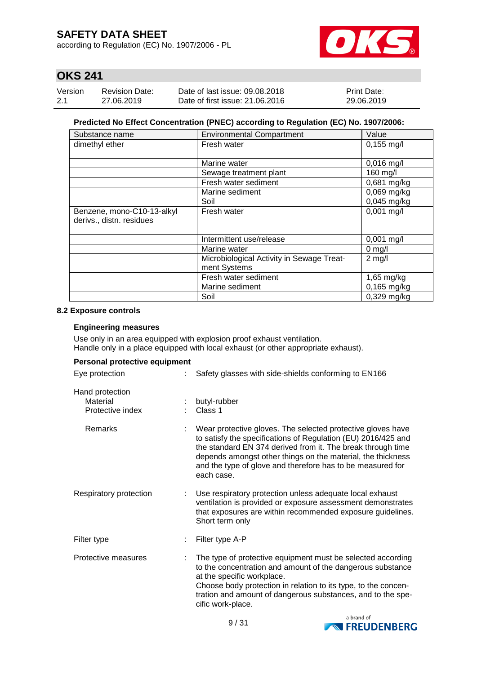according to Regulation (EC) No. 1907/2006 - PL

![](_page_8_Picture_2.jpeg)

# **OKS 241**

| Version | <b>Revision Date:</b> | Date of last issue: 09.08.2018  | <b>Print Date:</b> |
|---------|-----------------------|---------------------------------|--------------------|
| -2.1    | 27.06.2019            | Date of first issue: 21,06,2016 | 29.06.2019         |

#### **Predicted No Effect Concentration (PNEC) according to Regulation (EC) No. 1907/2006:**

| Substance name                                         | <b>Environmental Compartment</b>                          | Value         |
|--------------------------------------------------------|-----------------------------------------------------------|---------------|
| dimethyl ether                                         | Fresh water                                               | $0,155$ mg/l  |
|                                                        | Marine water                                              | $0,016$ mg/l  |
|                                                        | Sewage treatment plant                                    | 160 mg/l      |
|                                                        | Fresh water sediment                                      | $0,681$ mg/kg |
|                                                        | Marine sediment                                           | $0,069$ mg/kg |
|                                                        | Soil                                                      | 0,045 mg/kg   |
| Benzene, mono-C10-13-alkyl<br>derivs., distn. residues | Fresh water                                               | $0,001$ mg/l  |
|                                                        | Intermittent use/release                                  | $0,001$ mg/l  |
|                                                        | Marine water                                              | $0$ mg/l      |
|                                                        | Microbiological Activity in Sewage Treat-<br>ment Systems | $2$ mg/l      |
|                                                        | Fresh water sediment                                      | 1,65 mg/kg    |
|                                                        | Marine sediment                                           | $0,165$ mg/kg |
|                                                        | Soil                                                      | $0,329$ mg/kg |

#### **8.2 Exposure controls**

#### **Engineering measures**

Use only in an area equipped with explosion proof exhaust ventilation. Handle only in a place equipped with local exhaust (or other appropriate exhaust).

| Personal protective equipment                   |                                                                                                                                                                                                                                                                                                                                        |
|-------------------------------------------------|----------------------------------------------------------------------------------------------------------------------------------------------------------------------------------------------------------------------------------------------------------------------------------------------------------------------------------------|
| Eye protection                                  | Safety glasses with side-shields conforming to EN166                                                                                                                                                                                                                                                                                   |
| Hand protection<br>Material<br>Protective index | butyl-rubber<br>Class 1                                                                                                                                                                                                                                                                                                                |
| Remarks                                         | Wear protective gloves. The selected protective gloves have<br>to satisfy the specifications of Regulation (EU) 2016/425 and<br>the standard EN 374 derived from it. The break through time<br>depends amongst other things on the material, the thickness<br>and the type of glove and therefore has to be measured for<br>each case. |
| Respiratory protection                          | Use respiratory protection unless adequate local exhaust<br>ventilation is provided or exposure assessment demonstrates<br>that exposures are within recommended exposure guidelines.<br>Short term only                                                                                                                               |
| Filter type                                     | Filter type A-P                                                                                                                                                                                                                                                                                                                        |
| Protective measures                             | The type of protective equipment must be selected according<br>to the concentration and amount of the dangerous substance<br>at the specific workplace.<br>Choose body protection in relation to its type, to the concen-<br>tration and amount of dangerous substances, and to the spe-<br>cific work-place.                          |

![](_page_8_Picture_11.jpeg)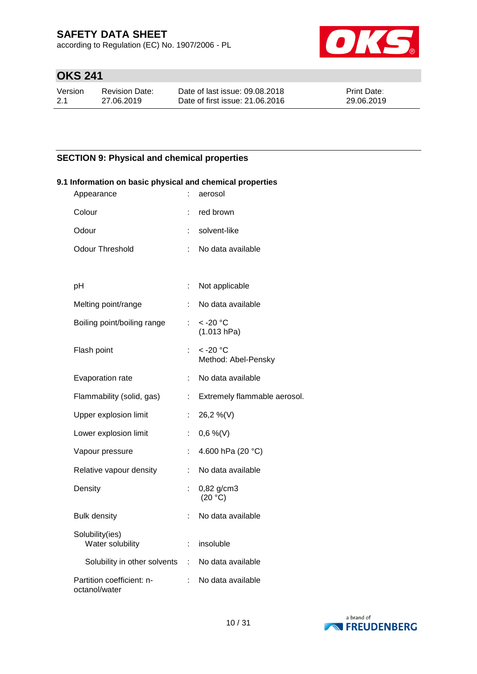according to Regulation (EC) No. 1907/2006 - PL

![](_page_9_Picture_2.jpeg)

# **OKS 241**

| Version | Revision Date: | Date of last issue: 09.08.2018  | <b>Print Date:</b> |
|---------|----------------|---------------------------------|--------------------|
| -2.1    | 27.06.2019     | Date of first issue: 21.06.2016 | 29.06.2019         |

### **SECTION 9: Physical and chemical properties**

| 9.1 Information on basic physical and chemical properties |    |                                             |  |  |  |  |  |
|-----------------------------------------------------------|----|---------------------------------------------|--|--|--|--|--|
| Appearance                                                |    | aerosol                                     |  |  |  |  |  |
| Colour                                                    |    | red brown                                   |  |  |  |  |  |
| Odour                                                     | t. | solvent-like                                |  |  |  |  |  |
| <b>Odour Threshold</b>                                    | ÷  | No data available                           |  |  |  |  |  |
|                                                           |    |                                             |  |  |  |  |  |
| pH                                                        | ÷  | Not applicable                              |  |  |  |  |  |
| Melting point/range                                       | ÷  | No data available                           |  |  |  |  |  |
| Boiling point/boiling range                               | ÷. | $<$ -20 $^{\circ}$ C<br>(1.013 hPa)         |  |  |  |  |  |
| Flash point                                               |    | $<$ -20 $^{\circ}$ C<br>Method: Abel-Pensky |  |  |  |  |  |
| Evaporation rate                                          |    | No data available                           |  |  |  |  |  |
| Flammability (solid, gas)                                 | t. | Extremely flammable aerosol.                |  |  |  |  |  |
| Upper explosion limit                                     | ÷. | 26,2 %(V)                                   |  |  |  |  |  |
| Lower explosion limit                                     | ÷. | $0,6\%$ (V)                                 |  |  |  |  |  |
| Vapour pressure                                           | ÷  | 4.600 hPa (20 °C)                           |  |  |  |  |  |
| Relative vapour density                                   | t. | No data available                           |  |  |  |  |  |
| Density                                                   |    | 0,82 g/cm3<br>(20 °C)                       |  |  |  |  |  |
| <b>Bulk density</b>                                       |    | No data available                           |  |  |  |  |  |
| Solubility(ies)<br>Water solubility                       | ÷  | insoluble                                   |  |  |  |  |  |
| Solubility in other solvents :                            |    | No data available                           |  |  |  |  |  |
| Partition coefficient: n-<br>octanol/water                | ÷  | No data available                           |  |  |  |  |  |

![](_page_9_Picture_7.jpeg)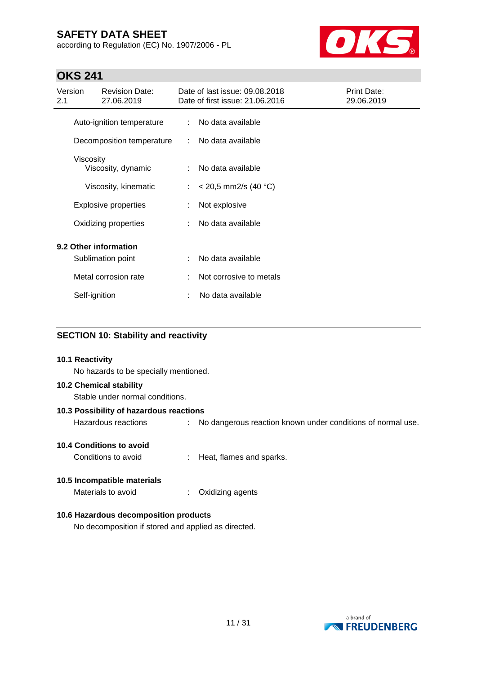according to Regulation (EC) No. 1907/2006 - PL

![](_page_10_Picture_2.jpeg)

# **OKS 241**

| Version<br>2.1 |               | <b>Revision Date:</b><br>27.06.2019        |   | Date of last issue: 09.08.2018<br>Date of first issue: 21.06.2016 | Print Date:<br>29.06.2019 |
|----------------|---------------|--------------------------------------------|---|-------------------------------------------------------------------|---------------------------|
|                |               | Auto-ignition temperature                  | ÷ | No data available                                                 |                           |
|                |               | Decomposition temperature                  |   | No data available                                                 |                           |
|                | Viscosity     | Viscosity, dynamic                         | ÷ | No data available                                                 |                           |
|                |               | Viscosity, kinematic                       | ÷ | $<$ 20,5 mm2/s (40 °C)                                            |                           |
|                |               | <b>Explosive properties</b>                |   | Not explosive                                                     |                           |
|                |               | Oxidizing properties                       |   | No data available                                                 |                           |
|                |               | 9.2 Other information<br>Sublimation point | ÷ | No data available                                                 |                           |
|                |               | Metal corrosion rate                       |   | Not corrosive to metals                                           |                           |
|                | Self-ignition |                                            |   | No data available                                                 |                           |

### **SECTION 10: Stability and reactivity**

| 10.1 Reactivity<br>No hazards to be specially mentioned.          |   |                                                             |
|-------------------------------------------------------------------|---|-------------------------------------------------------------|
| <b>10.2 Chemical stability</b><br>Stable under normal conditions. |   |                                                             |
| 10.3 Possibility of hazardous reactions                           |   |                                                             |
| Hazardous reactions                                               |   | No dangerous reaction known under conditions of normal use. |
| <b>10.4 Conditions to avoid</b><br>Conditions to avoid            |   | Heat, flames and sparks.                                    |
| 10.5 Incompatible materials<br>Materials to avoid                 | ÷ | Oxidizing agents                                            |

### **10.6 Hazardous decomposition products**

No decomposition if stored and applied as directed.

![](_page_10_Picture_9.jpeg)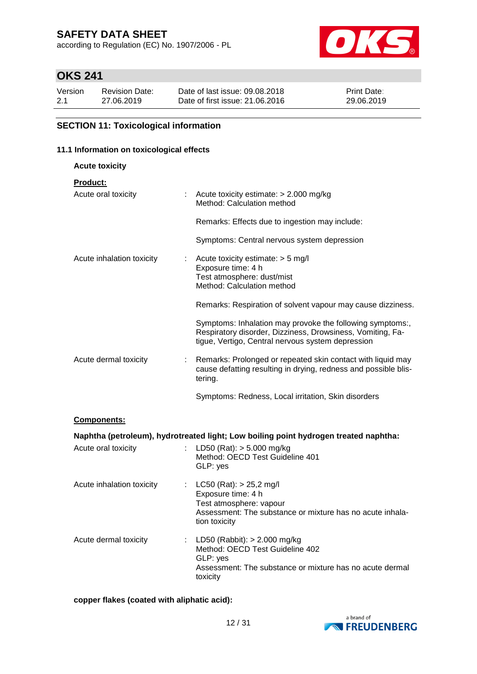according to Regulation (EC) No. 1907/2006 - PL

![](_page_11_Picture_2.jpeg)

# **OKS 241**

| Version | <b>Revision Date:</b> | Date of last issue: 09.08.2018  | <b>Print Date:</b> |
|---------|-----------------------|---------------------------------|--------------------|
| 2.1     | 27.06.2019            | Date of first issue: 21,06,2016 | 29.06.2019         |

### **SECTION 11: Toxicological information**

#### **11.1 Information on toxicological effects**

| <b>Acute toxicity</b>     |                                                                                                                                                                              |
|---------------------------|------------------------------------------------------------------------------------------------------------------------------------------------------------------------------|
| <b>Product:</b>           |                                                                                                                                                                              |
| Acute oral toxicity       | : Acute toxicity estimate: $> 2.000$ mg/kg<br>Method: Calculation method                                                                                                     |
|                           | Remarks: Effects due to ingestion may include:                                                                                                                               |
|                           | Symptoms: Central nervous system depression                                                                                                                                  |
| Acute inhalation toxicity | Acute toxicity estimate: $> 5$ mg/l<br>Exposure time: 4 h                                                                                                                    |
|                           | Test atmosphere: dust/mist                                                                                                                                                   |
|                           | Method: Calculation method                                                                                                                                                   |
|                           | Remarks: Respiration of solvent vapour may cause dizziness.                                                                                                                  |
|                           | Symptoms: Inhalation may provoke the following symptoms:,<br>Respiratory disorder, Dizziness, Drowsiness, Vomiting, Fa-<br>tigue, Vertigo, Central nervous system depression |
| Acute dermal toxicity     | : Remarks: Prolonged or repeated skin contact with liquid may<br>cause defatting resulting in drying, redness and possible blis-<br>tering.                                  |
|                           | Symptoms: Redness, Local irritation, Skin disorders                                                                                                                          |
| Components:               |                                                                                                                                                                              |
|                           | Naphtha (petroleum), hydrotreated light; Low boiling point hydrogen treated naphtha:                                                                                         |
| Acute oral toxicity<br>÷. | LD50 (Rat): $> 5.000$ mg/kg                                                                                                                                                  |
|                           | Method: OECD Test Guideline 401<br>GLP: yes                                                                                                                                  |

| Acute inhalation toxicity | : $LC50 (Rat): > 25,2 mg/l$<br>Exposure time: 4 h<br>Test atmosphere: vapour<br>Assessment: The substance or mixture has no acute inhala-<br>tion toxicity |
|---------------------------|------------------------------------------------------------------------------------------------------------------------------------------------------------|
| Acute dermal toxicity     | : LD50 (Rabbit): $> 2.000$ mg/kg<br>Method: OECD Test Guideline 402<br>GLP: yes                                                                            |

Assessment: The substance or mixture has no acute dermal

**copper flakes (coated with aliphatic acid):**

![](_page_11_Picture_10.jpeg)

toxicity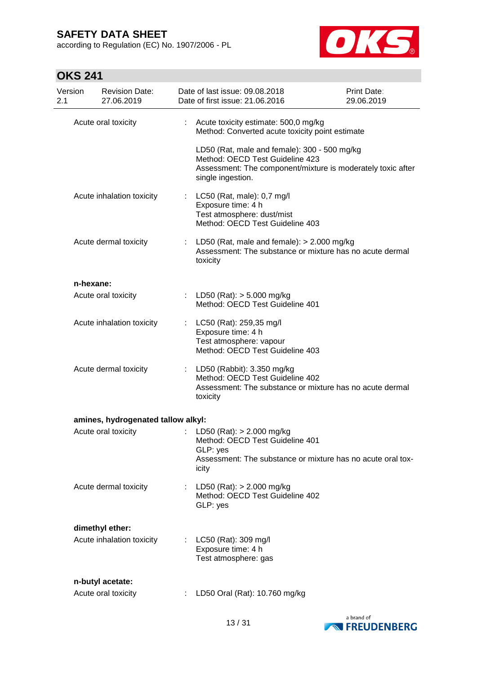according to Regulation (EC) No. 1907/2006 - PL

![](_page_12_Picture_2.jpeg)

# **OKS 241**

| Version<br>2.1 |           | <b>Revision Date:</b><br>27.06.2019 | Date of last issue: 09.08.2018<br>Date of first issue: 21.06.2016                                                                                                   | Print Date:<br>29.06.2019 |
|----------------|-----------|-------------------------------------|---------------------------------------------------------------------------------------------------------------------------------------------------------------------|---------------------------|
|                |           | Acute oral toxicity                 | Acute toxicity estimate: 500,0 mg/kg<br>Method: Converted acute toxicity point estimate                                                                             |                           |
|                |           |                                     | LD50 (Rat, male and female): 300 - 500 mg/kg<br>Method: OECD Test Guideline 423<br>Assessment: The component/mixture is moderately toxic after<br>single ingestion. |                           |
|                |           | Acute inhalation toxicity           | : $LC50$ (Rat, male): $0.7$ mg/l<br>Exposure time: 4 h<br>Test atmosphere: dust/mist<br>Method: OECD Test Guideline 403                                             |                           |
|                |           | Acute dermal toxicity               | : LD50 (Rat, male and female): $> 2.000$ mg/kg<br>Assessment: The substance or mixture has no acute dermal<br>toxicity                                              |                           |
|                | n-hexane: |                                     |                                                                                                                                                                     |                           |
|                |           | Acute oral toxicity                 | : LD50 (Rat): $>$ 5.000 mg/kg<br>Method: OECD Test Guideline 401                                                                                                    |                           |
|                |           | Acute inhalation toxicity           | : LC50 (Rat): 259,35 mg/l<br>Exposure time: 4 h<br>Test atmosphere: vapour<br>Method: OECD Test Guideline 403                                                       |                           |
|                |           | Acute dermal toxicity               | : LD50 (Rabbit): 3.350 mg/kg<br>Method: OECD Test Guideline 402<br>Assessment: The substance or mixture has no acute dermal<br>toxicity                             |                           |
|                |           | amines, hydrogenated tallow alkyl:  |                                                                                                                                                                     |                           |
|                |           | Acute oral toxicity                 | LD50 (Rat): $> 2.000$ mg/kg<br>Method: OECD Test Guideline 401<br>GLP: yes<br>Assessment: The substance or mixture has no acute oral tox-<br>icity                  |                           |
|                |           | Acute dermal toxicity               | LD50 (Rat): > 2.000 mg/kg<br>Method: OECD Test Guideline 402<br>GLP: yes                                                                                            |                           |
|                |           | dimethyl ether:                     |                                                                                                                                                                     |                           |
|                |           | Acute inhalation toxicity           | : LC50 (Rat): 309 mg/l<br>Exposure time: 4 h<br>Test atmosphere: gas                                                                                                |                           |
|                |           | n-butyl acetate:                    |                                                                                                                                                                     |                           |
|                |           | Acute oral toxicity                 | LD50 Oral (Rat): 10.760 mg/kg                                                                                                                                       |                           |

![](_page_12_Picture_5.jpeg)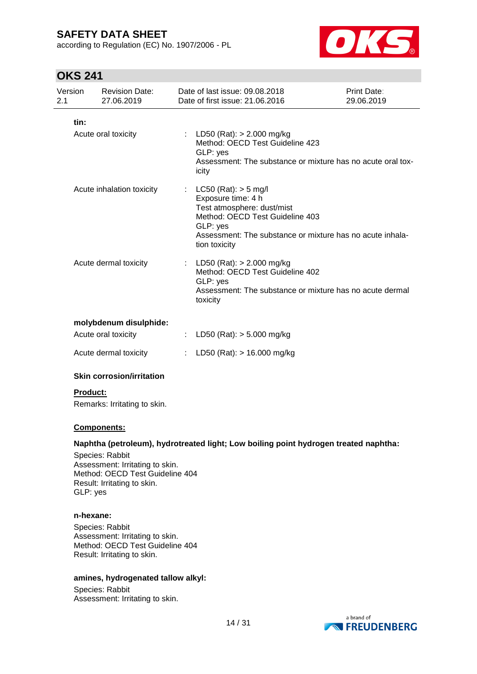according to Regulation (EC) No. 1907/2006 - PL

![](_page_13_Picture_2.jpeg)

## **OKS 241**

| Version<br>2.1 | <b>Revision Date:</b><br>27.06.2019 | Date of last issue: 09.08.2018<br>Date of first issue: 21,06,2016                                                                                                                                         | Print Date:<br>29.06.2019 |
|----------------|-------------------------------------|-----------------------------------------------------------------------------------------------------------------------------------------------------------------------------------------------------------|---------------------------|
| tin:           | Acute oral toxicity                 | : LD50 (Rat): $> 2.000$ mg/kg<br>Method: OECD Test Guideline 423<br>GLP: yes<br>Assessment: The substance or mixture has no acute oral tox-<br>icity                                                      |                           |
|                | Acute inhalation toxicity           | : $LC50 (Rat): > 5 mg/l$<br>Exposure time: 4 h<br>Test atmosphere: dust/mist<br>Method: OECD Test Guideline 403<br>GLP: yes<br>Assessment: The substance or mixture has no acute inhala-<br>tion toxicity |                           |
|                | Acute dermal toxicity               | : LD50 (Rat): $> 2.000$ mg/kg<br>Method: OECD Test Guideline 402<br>GLP: yes<br>Assessment: The substance or mixture has no acute dermal<br>toxicity                                                      |                           |
|                | molybdenum disulphide:              |                                                                                                                                                                                                           |                           |
|                | Acute oral toxicity                 | : LD50 (Rat): $> 5.000$ mg/kg                                                                                                                                                                             |                           |
|                | Acute dermal toxicity               | : LD50 (Rat): $> 16.000$ mg/kg                                                                                                                                                                            |                           |

### **Skin corrosion/irritation**

### **Product:**

Remarks: Irritating to skin.

#### **Components:**

#### **Naphtha (petroleum), hydrotreated light; Low boiling point hydrogen treated naphtha:**

Species: Rabbit Assessment: Irritating to skin. Method: OECD Test Guideline 404 Result: Irritating to skin. GLP: yes

#### **n-hexane:**

Species: Rabbit Assessment: Irritating to skin. Method: OECD Test Guideline 404 Result: Irritating to skin.

#### **amines, hydrogenated tallow alkyl:**

Species: Rabbit Assessment: Irritating to skin.

![](_page_13_Picture_15.jpeg)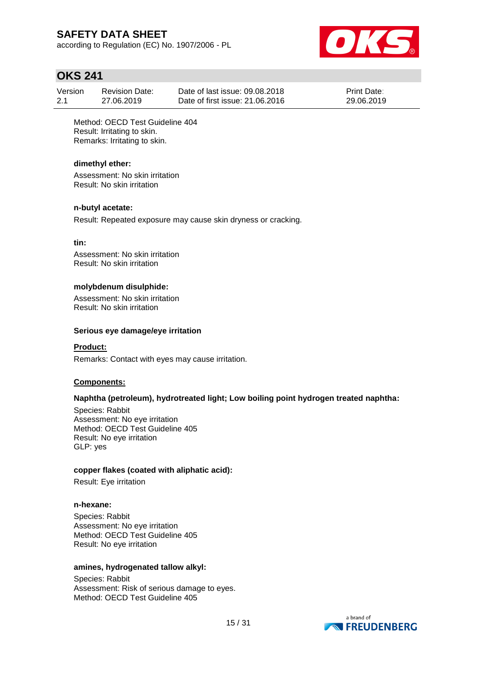according to Regulation (EC) No. 1907/2006 - PL

![](_page_14_Picture_2.jpeg)

## **OKS 241**

| Version | <b>Revision Date:</b> | Date of last issue: 09.08.2018  | <b>Print Date:</b> |
|---------|-----------------------|---------------------------------|--------------------|
| 2.1     | 27.06.2019            | Date of first issue: 21.06.2016 | 29.06.2019         |

Method: OECD Test Guideline 404 Result: Irritating to skin. Remarks: Irritating to skin.

#### **dimethyl ether:**

Assessment: No skin irritation Result: No skin irritation

#### **n-butyl acetate:**

Result: Repeated exposure may cause skin dryness or cracking.

#### **tin:**

Assessment: No skin irritation Result: No skin irritation

#### **molybdenum disulphide:**

Assessment: No skin irritation Result: No skin irritation

#### **Serious eye damage/eye irritation**

#### **Product:**

Remarks: Contact with eyes may cause irritation.

#### **Components:**

### **Naphtha (petroleum), hydrotreated light; Low boiling point hydrogen treated naphtha:**

Species: Rabbit Assessment: No eye irritation Method: OECD Test Guideline 405 Result: No eye irritation GLP: yes

#### **copper flakes (coated with aliphatic acid):**

Result: Eye irritation

#### **n-hexane:**

Species: Rabbit Assessment: No eye irritation Method: OECD Test Guideline 405 Result: No eye irritation

#### **amines, hydrogenated tallow alkyl:**

Species: Rabbit Assessment: Risk of serious damage to eyes. Method: OECD Test Guideline 405

![](_page_14_Picture_26.jpeg)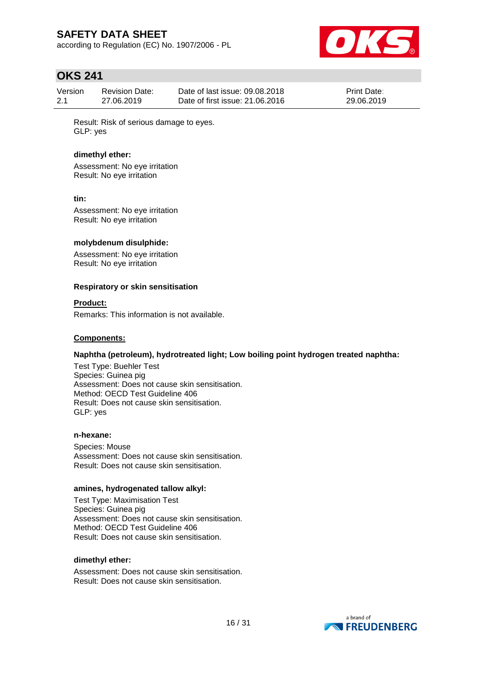according to Regulation (EC) No. 1907/2006 - PL

![](_page_15_Picture_2.jpeg)

## **OKS 241**

| Version | Revision Date: | Date of last issue: 09.08.2018  | <b>Print Date:</b> |
|---------|----------------|---------------------------------|--------------------|
| 2.1     | 27.06.2019     | Date of first issue: 21,06,2016 | 29.06.2019         |

Result: Risk of serious damage to eyes. GLP: yes

#### **dimethyl ether:**

Assessment: No eye irritation Result: No eye irritation

#### **tin:**

Assessment: No eye irritation Result: No eye irritation

#### **molybdenum disulphide:**

Assessment: No eye irritation Result: No eye irritation

#### **Respiratory or skin sensitisation**

#### **Product:**

Remarks: This information is not available.

#### **Components:**

#### **Naphtha (petroleum), hydrotreated light; Low boiling point hydrogen treated naphtha:**

Test Type: Buehler Test Species: Guinea pig Assessment: Does not cause skin sensitisation. Method: OECD Test Guideline 406 Result: Does not cause skin sensitisation. GLP: yes

#### **n-hexane:**

Species: Mouse Assessment: Does not cause skin sensitisation. Result: Does not cause skin sensitisation.

#### **amines, hydrogenated tallow alkyl:**

Test Type: Maximisation Test Species: Guinea pig Assessment: Does not cause skin sensitisation. Method: OECD Test Guideline 406 Result: Does not cause skin sensitisation.

#### **dimethyl ether:**

Assessment: Does not cause skin sensitisation. Result: Does not cause skin sensitisation.

![](_page_15_Picture_24.jpeg)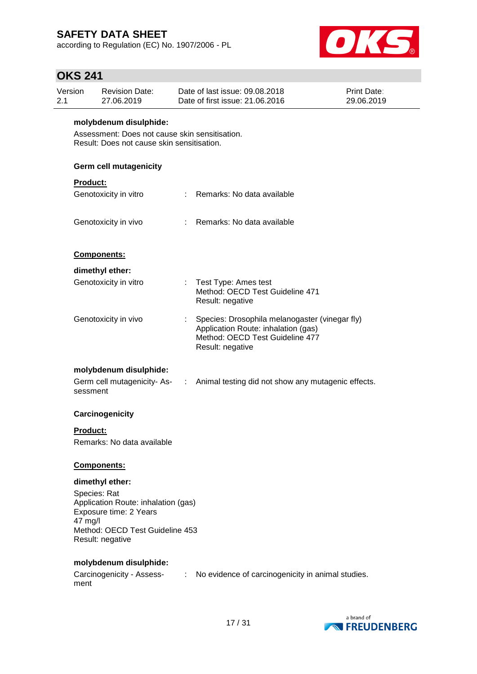according to Regulation (EC) No. 1907/2006 - PL

![](_page_16_Picture_2.jpeg)

# **OKS 241**

| 2.1 | Version                                                                                                                | <b>Revision Date:</b><br>27.06.2019                                                              |                             | Date of last issue: 09.08.2018<br>Date of first issue: 21.06.2016                                                                            | <b>Print Date:</b><br>29.06.2019 |  |  |  |
|-----|------------------------------------------------------------------------------------------------------------------------|--------------------------------------------------------------------------------------------------|-----------------------------|----------------------------------------------------------------------------------------------------------------------------------------------|----------------------------------|--|--|--|
|     | molybdenum disulphide:<br>Assessment: Does not cause skin sensitisation.<br>Result: Does not cause skin sensitisation. |                                                                                                  |                             |                                                                                                                                              |                                  |  |  |  |
|     | Germ cell mutagenicity                                                                                                 |                                                                                                  |                             |                                                                                                                                              |                                  |  |  |  |
|     | Product:                                                                                                               |                                                                                                  |                             |                                                                                                                                              |                                  |  |  |  |
|     |                                                                                                                        | Genotoxicity in vitro                                                                            |                             | : Remarks: No data available                                                                                                                 |                                  |  |  |  |
|     |                                                                                                                        | Genotoxicity in vivo                                                                             | $\mathcal{L}^{\mathcal{L}}$ | Remarks: No data available                                                                                                                   |                                  |  |  |  |
|     |                                                                                                                        | Components:                                                                                      |                             |                                                                                                                                              |                                  |  |  |  |
|     |                                                                                                                        | dimethyl ether:                                                                                  |                             |                                                                                                                                              |                                  |  |  |  |
|     |                                                                                                                        | Genotoxicity in vitro                                                                            |                             | : Test Type: Ames test<br>Method: OECD Test Guideline 471<br>Result: negative                                                                |                                  |  |  |  |
|     |                                                                                                                        | Genotoxicity in vivo                                                                             |                             | Species: Drosophila melanogaster (vinegar fly)<br>Application Route: inhalation (gas)<br>Method: OECD Test Guideline 477<br>Result: negative |                                  |  |  |  |
|     |                                                                                                                        | molybdenum disulphide:                                                                           |                             |                                                                                                                                              |                                  |  |  |  |
|     | sessment                                                                                                               |                                                                                                  |                             | Germ cell mutagenicity-As- : Animal testing did not show any mutagenic effects.                                                              |                                  |  |  |  |
|     |                                                                                                                        | Carcinogenicity                                                                                  |                             |                                                                                                                                              |                                  |  |  |  |
|     | Product:                                                                                                               | Remarks: No data available                                                                       |                             |                                                                                                                                              |                                  |  |  |  |
|     |                                                                                                                        | Components:                                                                                      |                             |                                                                                                                                              |                                  |  |  |  |
|     |                                                                                                                        | dimethyl ether:                                                                                  |                             |                                                                                                                                              |                                  |  |  |  |
|     | Species: Rat<br>47 mg/l                                                                                                | Application Route: inhalation (gas)<br>Exposure time: 2 Years<br>Method: OECD Test Guideline 453 |                             |                                                                                                                                              |                                  |  |  |  |
|     |                                                                                                                        | Result: negative                                                                                 |                             |                                                                                                                                              |                                  |  |  |  |
|     | ment                                                                                                                   | molybdenum disulphide:                                                                           |                             | Carcinogenicity - Assess- : No evidence of carcinogenicity in animal studies.                                                                |                                  |  |  |  |

![](_page_16_Picture_5.jpeg)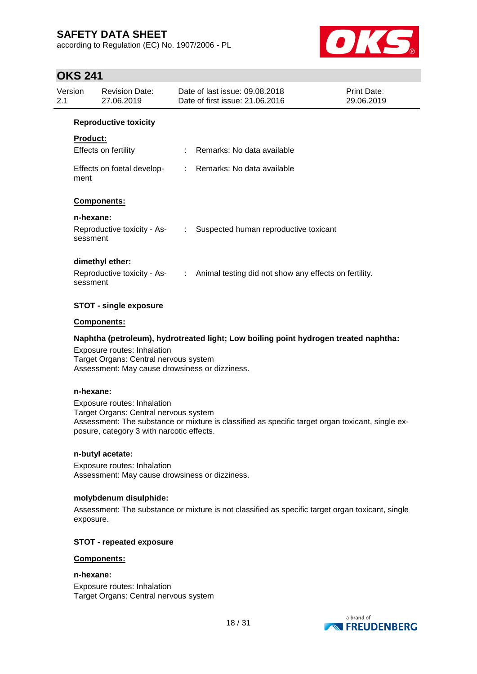according to Regulation (EC) No. 1907/2006 - PL

![](_page_17_Picture_2.jpeg)

## **OKS 241**

| Version<br>2.1 |                 | <b>Revision Date:</b><br>27.06.2019 | Date of last issue: 09.08.2018<br>Date of first issue: 21.06.2016                   | Print Date:<br>29.06.2019 |
|----------------|-----------------|-------------------------------------|-------------------------------------------------------------------------------------|---------------------------|
|                |                 | <b>Reproductive toxicity</b>        |                                                                                     |                           |
|                | <b>Product:</b> |                                     |                                                                                     |                           |
|                |                 | Effects on fertility                | : Remarks: No data available                                                        |                           |
|                | ment            |                                     | Effects on foetal develop- : Remarks: No data available                             |                           |
|                |                 | Components:                         |                                                                                     |                           |
|                | n-hexane:       |                                     |                                                                                     |                           |
|                | sessment        | Reproductive toxicity - As-         | : Suspected human reproductive toxicant                                             |                           |
|                |                 | dimethyl ether:                     |                                                                                     |                           |
|                | sessment        |                                     | Reproductive toxicity - As- : Animal testing did not show any effects on fertility. |                           |
|                |                 | STOT - single exposure              |                                                                                     |                           |

#### **Components:**

### **Naphtha (petroleum), hydrotreated light; Low boiling point hydrogen treated naphtha:**

Exposure routes: Inhalation Target Organs: Central nervous system Assessment: May cause drowsiness or dizziness.

#### **n-hexane:**

Exposure routes: Inhalation Target Organs: Central nervous system Assessment: The substance or mixture is classified as specific target organ toxicant, single exposure, category 3 with narcotic effects.

#### **n-butyl acetate:**

Exposure routes: Inhalation Assessment: May cause drowsiness or dizziness.

#### **molybdenum disulphide:**

Assessment: The substance or mixture is not classified as specific target organ toxicant, single exposure.

#### **STOT - repeated exposure**

#### **Components:**

**n-hexane:** Exposure routes: Inhalation Target Organs: Central nervous system

![](_page_17_Picture_17.jpeg)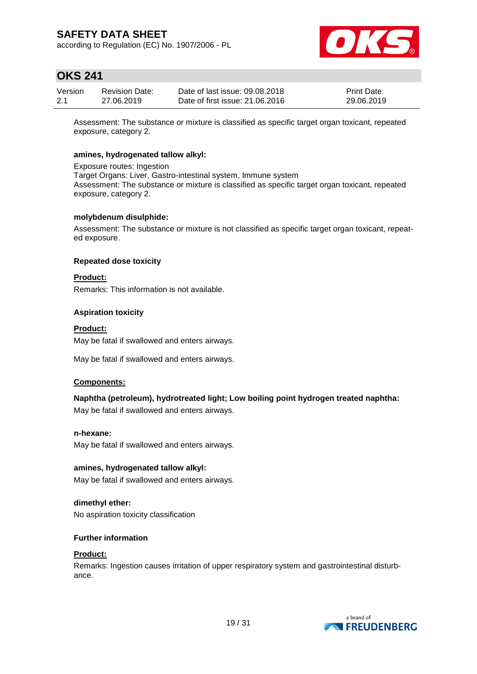according to Regulation (EC) No. 1907/2006 - PL

![](_page_18_Picture_2.jpeg)

## **OKS 241**

| Version | <b>Revision Date:</b> | Date of last issue: 09.08.2018  | <b>Print Date:</b> |
|---------|-----------------------|---------------------------------|--------------------|
| 2.1     | 27.06.2019            | Date of first issue: 21,06,2016 | 29.06.2019         |

Assessment: The substance or mixture is classified as specific target organ toxicant, repeated exposure, category 2.

#### **amines, hydrogenated tallow alkyl:**

Exposure routes: Ingestion Target Organs: Liver, Gastro-intestinal system, Immune system Assessment: The substance or mixture is classified as specific target organ toxicant, repeated exposure, category 2.

#### **molybdenum disulphide:**

Assessment: The substance or mixture is not classified as specific target organ toxicant, repeated exposure.

#### **Repeated dose toxicity**

#### **Product:**

Remarks: This information is not available.

#### **Aspiration toxicity**

#### **Product:**

May be fatal if swallowed and enters airways.

May be fatal if swallowed and enters airways.

#### **Components:**

### **Naphtha (petroleum), hydrotreated light; Low boiling point hydrogen treated naphtha:**

May be fatal if swallowed and enters airways.

#### **n-hexane:**

May be fatal if swallowed and enters airways.

#### **amines, hydrogenated tallow alkyl:**

May be fatal if swallowed and enters airways.

**dimethyl ether:**

No aspiration toxicity classification

### **Further information**

#### **Product:**

Remarks: Ingestion causes irritation of upper respiratory system and gastrointestinal disturbance.

![](_page_18_Picture_29.jpeg)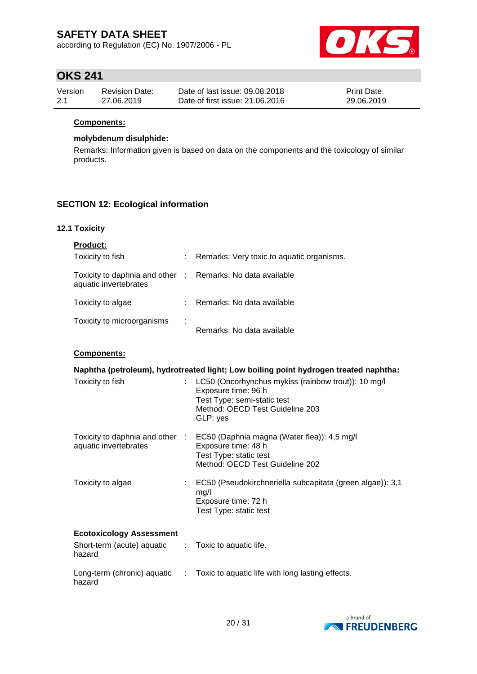according to Regulation (EC) No. 1907/2006 - PL

![](_page_19_Picture_2.jpeg)

# **OKS 241**

| Version | Revision Date: | Date of last issue: 09.08.2018  | <b>Print Date:</b> |
|---------|----------------|---------------------------------|--------------------|
| 2.1     | 27.06.2019     | Date of first issue: 21,06,2016 | 29.06.2019         |

#### **Components:**

#### **molybdenum disulphide:**

Remarks: Information given is based on data on the components and the toxicology of similar products.

### **SECTION 12: Ecological information**

### **12.1 Toxicity**

| <b>Product:</b>                                                                     |   |                                           |
|-------------------------------------------------------------------------------------|---|-------------------------------------------|
| Toxicity to fish                                                                    |   | Remarks: Very toxic to aquatic organisms. |
| Toxicity to daphnia and other : Remarks: No data available<br>aquatic invertebrates |   |                                           |
| Toxicity to algae                                                                   |   | Remarks: No data available                |
| Toxicity to microorganisms                                                          | ÷ | Remarks: No data available                |

#### **Components:**

| Naphtha (petroleum), hydrotreated light; Low boiling point hydrogen treated naphtha: |                                                                                                                                                                 |  |  |  |  |
|--------------------------------------------------------------------------------------|-----------------------------------------------------------------------------------------------------------------------------------------------------------------|--|--|--|--|
| Toxicity to fish                                                                     | : LC50 (Oncorhynchus mykiss (rainbow trout)): 10 mg/l<br>Exposure time: 96 h<br>Test Type: semi-static test<br>Method: OECD Test Guideline 203<br>GLP: yes      |  |  |  |  |
| aquatic invertebrates                                                                | Toxicity to daphnia and other : EC50 (Daphnia magna (Water flea)): 4,5 mg/l<br>Exposure time: 48 h<br>Test Type: static test<br>Method: OECD Test Guideline 202 |  |  |  |  |
| Toxicity to algae                                                                    | EC50 (Pseudokirchneriella subcapitata (green algae)): 3,1<br>mg/l<br>Exposure time: 72 h<br>Test Type: static test                                              |  |  |  |  |
| <b>Ecotoxicology Assessment</b>                                                      |                                                                                                                                                                 |  |  |  |  |
| Short-term (acute) aquatic : Toxic to aquatic life.<br>hazard                        |                                                                                                                                                                 |  |  |  |  |
| Long-term (chronic) aquatic<br>$\mathcal{X}^{\mathcal{A}}$<br>hazard                 | Toxic to aquatic life with long lasting effects.                                                                                                                |  |  |  |  |

![](_page_19_Picture_13.jpeg)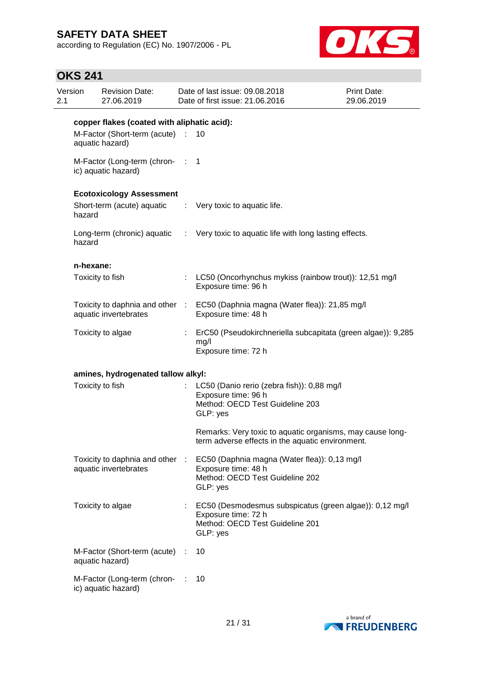according to Regulation (EC) No. 1907/2006 - PL

![](_page_20_Picture_2.jpeg)

## **OKS 241**

| 2.1 | Version   | <b>Revision Date:</b><br>27.06.2019                      |    | Date of last issue: 09.08.2018<br>Date of first issue: 21.06.2016                                                             | Print Date:<br>29.06.2019 |
|-----|-----------|----------------------------------------------------------|----|-------------------------------------------------------------------------------------------------------------------------------|---------------------------|
|     |           | copper flakes (coated with aliphatic acid):              |    |                                                                                                                               |                           |
|     |           | M-Factor (Short-term (acute) :<br>aquatic hazard)        |    | 10                                                                                                                            |                           |
|     |           | M-Factor (Long-term (chron- : 1<br>ic) aquatic hazard)   |    |                                                                                                                               |                           |
|     |           | <b>Ecotoxicology Assessment</b>                          |    |                                                                                                                               |                           |
|     | hazard    | Short-term (acute) aquatic                               |    | : Very toxic to aquatic life.                                                                                                 |                           |
|     | hazard    |                                                          |    | Long-term (chronic) aquatic : Very toxic to aquatic life with long lasting effects.                                           |                           |
|     | n-hexane: |                                                          |    |                                                                                                                               |                           |
|     |           | Toxicity to fish                                         |    | : LC50 (Oncorhynchus mykiss (rainbow trout)): 12,51 mg/l<br>Exposure time: 96 h                                               |                           |
|     |           | aquatic invertebrates                                    |    | Toxicity to daphnia and other : EC50 (Daphnia magna (Water flea)): 21,85 mg/l<br>Exposure time: 48 h                          |                           |
|     |           | Toxicity to algae                                        | ÷. | ErC50 (Pseudokirchneriella subcapitata (green algae)): 9,285<br>mg/l<br>Exposure time: 72 h                                   |                           |
|     |           | amines, hydrogenated tallow alkyl:                       |    |                                                                                                                               |                           |
|     |           | Toxicity to fish                                         |    | LC50 (Danio rerio (zebra fish)): 0,88 mg/l<br>Exposure time: 96 h<br>Method: OECD Test Guideline 203<br>GLP: yes              |                           |
|     |           |                                                          |    | Remarks: Very toxic to aquatic organisms, may cause long-<br>term adverse effects in the aquatic environment.                 |                           |
|     |           | Toxicity to daphnia and other :<br>aquatic invertebrates |    | EC50 (Daphnia magna (Water flea)): 0,13 mg/l<br>Exposure time: 48 h<br>Method: OECD Test Guideline 202<br>GLP: yes            |                           |
|     |           | Toxicity to algae                                        |    | EC50 (Desmodesmus subspicatus (green algae)): 0,12 mg/l<br>Exposure time: 72 h<br>Method: OECD Test Guideline 201<br>GLP: yes |                           |
|     |           | M-Factor (Short-term (acute) :<br>aquatic hazard)        |    | 10                                                                                                                            |                           |
|     |           | M-Factor (Long-term (chron-<br>ic) aquatic hazard)       |    | 10                                                                                                                            |                           |

![](_page_20_Picture_5.jpeg)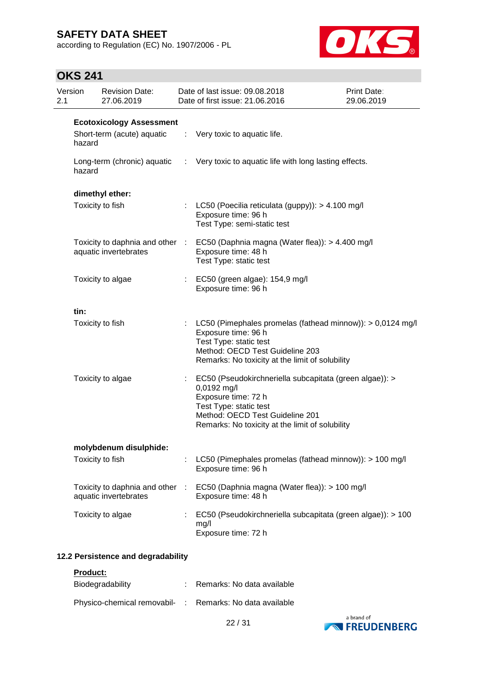according to Regulation (EC) No. 1907/2006 - PL

![](_page_21_Picture_2.jpeg)

## **OKS 241**

| Version<br>2.1 |        | <b>Revision Date:</b><br>27.06.2019                      | Date of last issue: 09.08.2018<br>Date of first issue: 21.06.2016                                                                                                                                             | Print Date:<br>29.06.2019 |
|----------------|--------|----------------------------------------------------------|---------------------------------------------------------------------------------------------------------------------------------------------------------------------------------------------------------------|---------------------------|
|                |        | <b>Ecotoxicology Assessment</b>                          |                                                                                                                                                                                                               |                           |
|                | hazard | Short-term (acute) aquatic                               | $\therefore$ Very toxic to aquatic life.                                                                                                                                                                      |                           |
|                | hazard | Long-term (chronic) aquatic                              | : Very toxic to aquatic life with long lasting effects.                                                                                                                                                       |                           |
|                |        | dimethyl ether:                                          |                                                                                                                                                                                                               |                           |
|                |        | Toxicity to fish                                         | LC50 (Poecilia reticulata (guppy)): > 4.100 mg/l<br>Exposure time: 96 h<br>Test Type: semi-static test                                                                                                        |                           |
|                |        | aquatic invertebrates                                    | Toxicity to daphnia and other : EC50 (Daphnia magna (Water flea)): > 4.400 mg/l<br>Exposure time: 48 h<br>Test Type: static test                                                                              |                           |
|                |        | Toxicity to algae                                        | : EC50 (green algae): 154,9 mg/l<br>Exposure time: 96 h                                                                                                                                                       |                           |
|                | tin:   |                                                          |                                                                                                                                                                                                               |                           |
|                |        | Toxicity to fish                                         | : LC50 (Pimephales promelas (fathead minnow)): $> 0.0124$ mg/l<br>Exposure time: 96 h<br>Test Type: static test<br>Method: OECD Test Guideline 203<br>Remarks: No toxicity at the limit of solubility         |                           |
|                |        | Toxicity to algae                                        | EC50 (Pseudokirchneriella subcapitata (green algae)): ><br>0,0192 mg/l<br>Exposure time: 72 h<br>Test Type: static test<br>Method: OECD Test Guideline 201<br>Remarks: No toxicity at the limit of solubility |                           |
|                |        | molybdenum disulphide:                                   |                                                                                                                                                                                                               |                           |
|                |        | Toxicity to fish                                         | LC50 (Pimephales promelas (fathead minnow)): > 100 mg/l<br>Exposure time: 96 h                                                                                                                                |                           |
|                |        | Toxicity to daphnia and other :<br>aquatic invertebrates | EC50 (Daphnia magna (Water flea)): > 100 mg/l<br>Exposure time: 48 h                                                                                                                                          |                           |
|                |        | Toxicity to algae                                        | EC50 (Pseudokirchneriella subcapitata (green algae)): > 100<br>mg/l<br>Exposure time: 72 h                                                                                                                    |                           |

### **12.2 Persistence and degradability**

**Product:**

| Biodegradability                                         | : Remarks: No data available |
|----------------------------------------------------------|------------------------------|
| Physico-chemical removabil- : Remarks: No data available |                              |

![](_page_21_Picture_9.jpeg)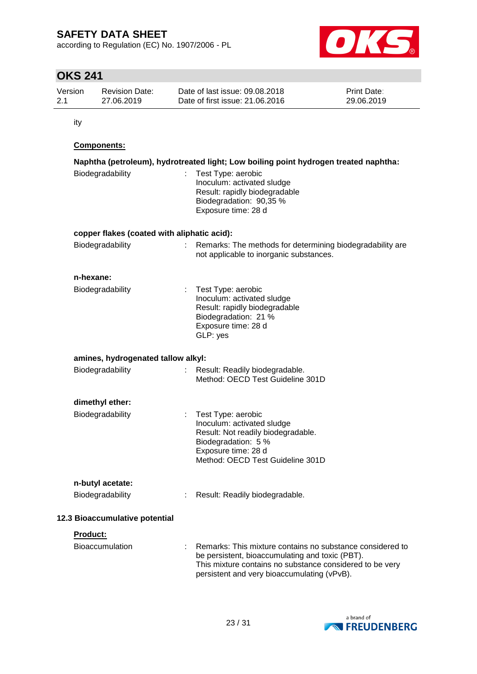according to Regulation (EC) No. 1907/2006 - PL

![](_page_22_Picture_2.jpeg)

# **OKS 241**

| Version | <b>Revision Date:</b> | Date of last issue: 09.08.2018  | <b>Print Date:</b> |
|---------|-----------------------|---------------------------------|--------------------|
| 2.1     | 27.06.2019            | Date of first issue: 21.06.2016 | 29.06.2019         |

ity

### **Components:**

| Biodegradability                            |  | Naphtha (petroleum), hydrotreated light; Low boiling point hydrogen treated naphtha:<br>Test Type: aerobic<br>Inoculum: activated sludge<br>Result: rapidly biodegradable<br>Biodegradation: 90,35 %<br>Exposure time: 28 d |  |  |
|---------------------------------------------|--|-----------------------------------------------------------------------------------------------------------------------------------------------------------------------------------------------------------------------------|--|--|
| copper flakes (coated with aliphatic acid): |  |                                                                                                                                                                                                                             |  |  |
| Biodegradability                            |  | Remarks: The methods for determining biodegradability are<br>not applicable to inorganic substances.                                                                                                                        |  |  |
| n-hexane:                                   |  |                                                                                                                                                                                                                             |  |  |
| Biodegradability                            |  | Test Type: aerobic<br>Inoculum: activated sludge<br>Result: rapidly biodegradable<br>Biodegradation: 21 %<br>Exposure time: 28 d<br>GLP: yes                                                                                |  |  |
| amines, hydrogenated tallow alkyl:          |  |                                                                                                                                                                                                                             |  |  |
| Biodegradability                            |  | Result: Readily biodegradable.<br>Method: OECD Test Guideline 301D                                                                                                                                                          |  |  |
| dimethyl ether:                             |  |                                                                                                                                                                                                                             |  |  |
| Biodegradability                            |  | Test Type: aerobic<br>Inoculum: activated sludge<br>Result: Not readily biodegradable.<br>Biodegradation: 5 %<br>Exposure time: 28 d<br>Method: OECD Test Guideline 301D                                                    |  |  |
| n-butyl acetate:                            |  |                                                                                                                                                                                                                             |  |  |
| Biodegradability                            |  | : Result: Readily biodegradable.                                                                                                                                                                                            |  |  |
| 12.3 Bioaccumulative potential              |  |                                                                                                                                                                                                                             |  |  |
| Product:                                    |  |                                                                                                                                                                                                                             |  |  |
| <b>Bioaccumulation</b>                      |  | Remarks: This mixture contains no substance considered to<br>be persistent, bioaccumulating and toxic (PBT).<br>This mixture contains no substance considered to be very<br>persistent and very bioaccumulating (vPvB).     |  |  |

![](_page_22_Picture_8.jpeg)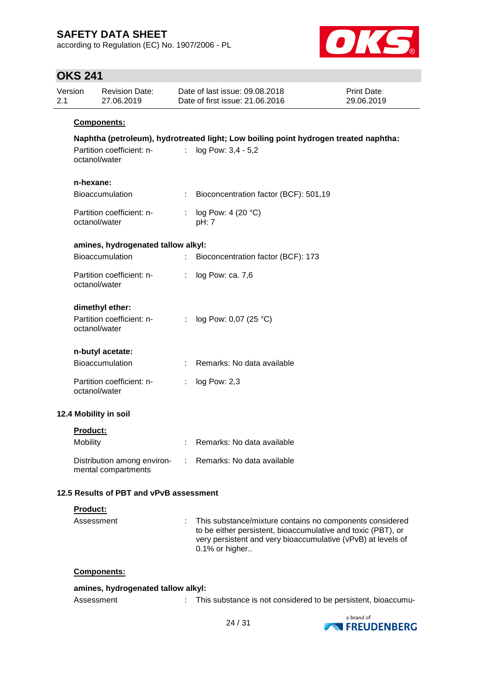according to Regulation (EC) No. 1907/2006 - PL

![](_page_23_Picture_2.jpeg)

## **OKS 241**

| Version<br>2.1 | <b>Revision Date:</b><br>27.06.2019                           |                           | Date of last issue: 09.08.2018<br>Date of first issue: 21.06.2016                                          | Print Date:<br>29.06.2019 |
|----------------|---------------------------------------------------------------|---------------------------|------------------------------------------------------------------------------------------------------------|---------------------------|
|                | Components:                                                   |                           |                                                                                                            |                           |
|                | Partition coefficient: n-<br>octanol/water                    | $\mathbb{R}^{\mathbb{Z}}$ | Naphtha (petroleum), hydrotreated light; Low boiling point hydrogen treated naphtha:<br>log Pow: 3,4 - 5,2 |                           |
|                | n-hexane:<br><b>Bioaccumulation</b>                           |                           | Bioconcentration factor (BCF): 501,19                                                                      |                           |
|                | Partition coefficient: n-<br>octanol/water                    |                           | log Pow: 4 (20 °C)<br>pH: 7                                                                                |                           |
|                | amines, hydrogenated tallow alkyl:                            |                           |                                                                                                            |                           |
|                | Bioaccumulation                                               |                           | Bioconcentration factor (BCF): 173                                                                         |                           |
|                | Partition coefficient: n-<br>octanol/water                    | ÷.                        | log Pow: ca. 7,6                                                                                           |                           |
|                | dimethyl ether:<br>Partition coefficient: n-<br>octanol/water |                           | log Pow: 0,07 (25 °C)                                                                                      |                           |
|                | n-butyl acetate:                                              |                           |                                                                                                            |                           |
|                | Bioaccumulation                                               |                           | Remarks: No data available                                                                                 |                           |
|                | Partition coefficient: n-<br>octanol/water                    |                           | log Pow: 2,3                                                                                               |                           |
|                | 12.4 Mobility in soil                                         |                           |                                                                                                            |                           |
|                | Product:                                                      |                           |                                                                                                            |                           |
| Mobility       |                                                               |                           | Remarks: No data available                                                                                 |                           |
|                | Distribution among environ-<br>mental compartments            |                           | Remarks: No data available                                                                                 |                           |
|                | 12.5 Results of PBT and vPvB assessment                       |                           |                                                                                                            |                           |
|                | Product:                                                      |                           |                                                                                                            |                           |
|                | Assessment                                                    |                           | This substance/mixture contains no components considered                                                   |                           |

| amines, hydrogenated tallow alkyl: |  |                                                               |  |  |
|------------------------------------|--|---------------------------------------------------------------|--|--|
| Assessment                         |  | This substance is not considered to be persistent, bioaccumu- |  |  |

to be either persistent, bioaccumulative and toxic (PBT), or very persistent and very bioaccumulative (vPvB) at levels of

![](_page_23_Picture_7.jpeg)

0.1% or higher..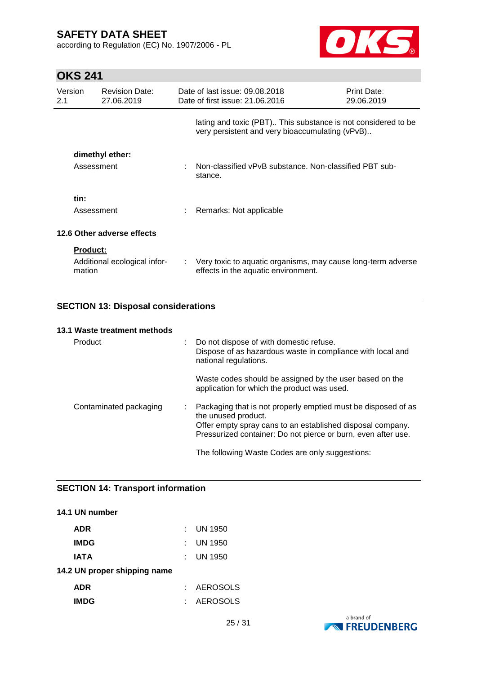according to Regulation (EC) No. 1907/2006 - PL

![](_page_24_Picture_2.jpeg)

# **OKS 241**

| Version<br>2.1 |                           | <b>Revision Date:</b><br>27.06.2019 | Date of last issue: 09.08.2018<br>Date of first issue: 21.06.2016                                                | Print Date:<br>29.06.2019 |
|----------------|---------------------------|-------------------------------------|------------------------------------------------------------------------------------------------------------------|---------------------------|
|                |                           |                                     | lating and toxic (PBT) This substance is not considered to be<br>very persistent and very bioaccumulating (vPvB) |                           |
|                | Assessment                | dimethyl ether:                     | Non-classified vPvB substance. Non-classified PBT sub-<br>stance.                                                |                           |
|                | tin:<br>Assessment        |                                     | Remarks: Not applicable                                                                                          |                           |
|                |                           | 12.6 Other adverse effects          |                                                                                                                  |                           |
|                | <b>Product:</b><br>mation | Additional ecological infor-        | : Very toxic to aquatic organisms, may cause long-term adverse<br>effects in the aquatic environment.            |                           |

### **SECTION 13: Disposal considerations**

#### **13.1 Waste treatment methods**

| Product                | : Do not dispose of with domestic refuse.<br>Dispose of as hazardous waste in compliance with local and<br>national regulations.                                                                                    |
|------------------------|---------------------------------------------------------------------------------------------------------------------------------------------------------------------------------------------------------------------|
|                        | Waste codes should be assigned by the user based on the<br>application for which the product was used.                                                                                                              |
| Contaminated packaging | Packaging that is not properly emptied must be disposed of as<br>the unused product.<br>Offer empty spray cans to an established disposal company.<br>Pressurized container: Do not pierce or burn, even after use. |
|                        | The following Waste Codes are only suggestions:                                                                                                                                                                     |

#### **SECTION 14: Transport information**

# **14.1 UN number ADR** : UN 1950 **IMDG** : UN 1950 **IATA** : UN 1950 **14.2 UN proper shipping name ADR** : AEROSOLS **IMDG** : AEROSOLS

![](_page_24_Picture_10.jpeg)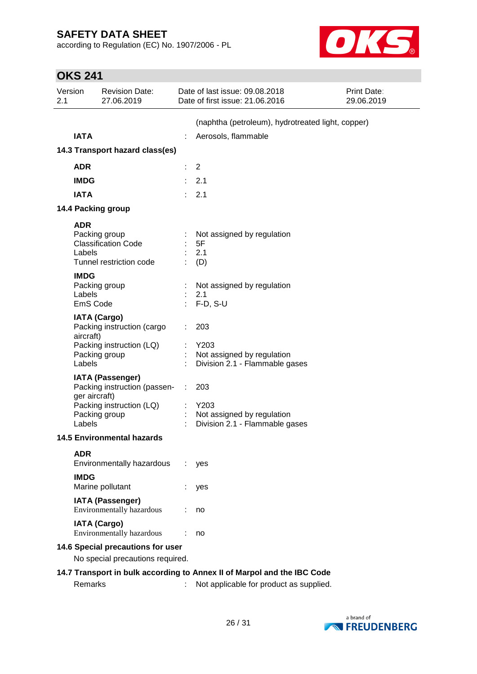according to Regulation (EC) No. 1907/2006 - PL

![](_page_25_Picture_2.jpeg)

| <b>OKS 241</b> |  |
|----------------|--|
|                |  |

| Version<br>2.1 |                                   | <b>Revision Date:</b><br>27.06.2019                                                                  | Date of last issue: 09.08.2018<br>Date of first issue: 21.06.2016           | Print Date:<br>29.06.2019 |
|----------------|-----------------------------------|------------------------------------------------------------------------------------------------------|-----------------------------------------------------------------------------|---------------------------|
|                | <b>IATA</b>                       |                                                                                                      | (naphtha (petroleum), hydrotreated light, copper)<br>Aerosols, flammable    |                           |
|                |                                   | 14.3 Transport hazard class(es)                                                                      |                                                                             |                           |
|                | <b>ADR</b>                        |                                                                                                      | $\overline{2}$                                                              |                           |
|                | <b>IMDG</b>                       |                                                                                                      | 2.1                                                                         |                           |
|                | <b>IATA</b>                       |                                                                                                      | 2.1                                                                         |                           |
|                |                                   | 14.4 Packing group                                                                                   |                                                                             |                           |
|                | <b>ADR</b>                        |                                                                                                      |                                                                             |                           |
|                | Labels                            | Packing group<br><b>Classification Code</b><br>Tunnel restriction code                               | Not assigned by regulation<br>5F<br>2.1<br>(D)                              |                           |
|                | <b>IMDG</b><br>Labels<br>EmS Code | Packing group                                                                                        | Not assigned by regulation<br>2.1<br>$F-D, S-U$                             |                           |
|                | aircraft)<br>Labels               | <b>IATA (Cargo)</b><br>Packing instruction (cargo<br>Packing instruction (LQ)<br>Packing group       | 203<br>Y203<br>Not assigned by regulation<br>Division 2.1 - Flammable gases |                           |
|                | ger aircraft)<br>Labels           | <b>IATA (Passenger)</b><br>Packing instruction (passen-<br>Packing instruction (LQ)<br>Packing group | 203<br>Y203<br>Not assigned by regulation<br>Division 2.1 - Flammable gases |                           |
|                |                                   | 14.5 Environmental hazards                                                                           |                                                                             |                           |
|                | <b>ADR</b><br><b>IMDG</b>         | Environmentally hazardous                                                                            | yes                                                                         |                           |
|                |                                   | Marine pollutant                                                                                     | yes                                                                         |                           |
|                |                                   | <b>IATA (Passenger)</b><br>Environmentally hazardous                                                 | no                                                                          |                           |
|                |                                   | <b>IATA (Cargo)</b><br>Environmentally hazardous                                                     | no                                                                          |                           |
|                |                                   | 14.6 Special precautions for user                                                                    |                                                                             |                           |
|                |                                   | No special precautions required.                                                                     |                                                                             |                           |
|                |                                   |                                                                                                      | 14.7 Transport in bulk according to Annex II of Marpol and the IBC Code     |                           |
|                | Remarks                           |                                                                                                      | Not applicable for product as supplied.                                     |                           |

![](_page_25_Picture_5.jpeg)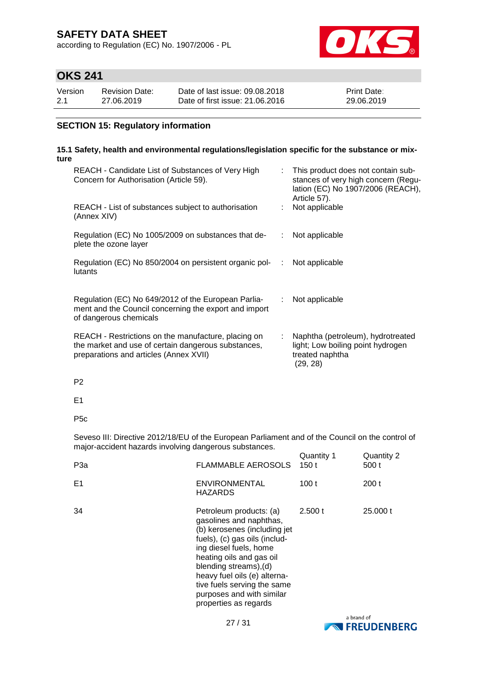according to Regulation (EC) No. 1907/2006 - PL

![](_page_26_Picture_2.jpeg)

# **OKS 241**

| Version | Revision Date: | Date of last issue: 09.08.2018  | <b>Print Date:</b> |
|---------|----------------|---------------------------------|--------------------|
| 2.1     | 27.06.2019     | Date of first issue: 21,06,2016 | 29.06.2019         |

### **SECTION 15: Regulatory information**

#### **15.1 Safety, health and environmental regulations/legislation specific for the substance or mixture**

| REACH - Candidate List of Substances of Very High<br>Concern for Authorisation (Article 59).                                                         |                               | This product does not contain sub-<br>stances of very high concern (Regu-<br>lation (EC) No 1907/2006 (REACH),<br>Article 57). |
|------------------------------------------------------------------------------------------------------------------------------------------------------|-------------------------------|--------------------------------------------------------------------------------------------------------------------------------|
| REACH - List of substances subject to authorisation<br>(Annex XIV)                                                                                   |                               | Not applicable                                                                                                                 |
| Regulation (EC) No 1005/2009 on substances that de-<br>plete the ozone layer                                                                         |                               | Not applicable                                                                                                                 |
| Regulation (EC) No 850/2004 on persistent organic pol-<br>lutants                                                                                    |                               | Not applicable                                                                                                                 |
| Regulation (EC) No 649/2012 of the European Parlia-<br>ment and the Council concerning the export and import<br>of dangerous chemicals               | ÷.                            | Not applicable                                                                                                                 |
| REACH - Restrictions on the manufacture, placing on<br>the market and use of certain dangerous substances,<br>preparations and articles (Annex XVII) | $\mathcal{L}^{\mathcal{L}}$ . | Naphtha (petroleum), hydrotreated<br>light; Low boiling point hydrogen<br>treated naphtha<br>(29, 28)                          |

P2

E1

P5c

Seveso III: Directive 2012/18/EU of the European Parliament and of the Council on the control of major-accident hazards involving dangerous substances.

| P <sub>3</sub> a | <b>FLAMMABLE AEROSOLS</b>                                                                                                                                                                                                                                                                                                | Quantity 1<br>150 t | Quantity 2<br>500 t |
|------------------|--------------------------------------------------------------------------------------------------------------------------------------------------------------------------------------------------------------------------------------------------------------------------------------------------------------------------|---------------------|---------------------|
| E <sub>1</sub>   | <b>ENVIRONMENTAL</b><br><b>HAZARDS</b>                                                                                                                                                                                                                                                                                   | 100 t               | 200t                |
| 34               | Petroleum products: (a)<br>gasolines and naphthas,<br>(b) kerosenes (including jet<br>fuels), (c) gas oils (includ-<br>ing diesel fuels, home<br>heating oils and gas oil<br>blending streams), (d)<br>heavy fuel oils (e) alterna-<br>tive fuels serving the same<br>purposes and with similar<br>properties as regards | 2.500 t             | 25,000 t            |

![](_page_26_Picture_13.jpeg)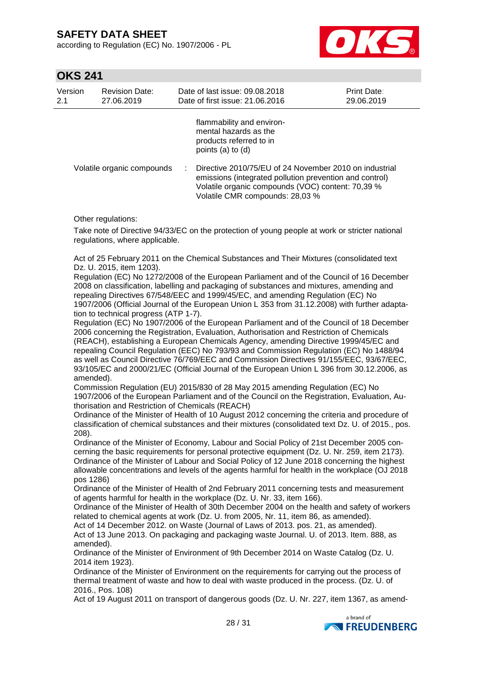according to Regulation (EC) No. 1907/2006 - PL

![](_page_27_Picture_2.jpeg)

### **OKS 241**

| Version<br>2.1 | <b>Revision Date:</b><br>27.06.2019 | Date of last issue: 09.08.2018<br>Date of first issue: 21.06.2016                                                                                                                                         | <b>Print Date:</b><br>29.06.2019 |
|----------------|-------------------------------------|-----------------------------------------------------------------------------------------------------------------------------------------------------------------------------------------------------------|----------------------------------|
|                |                                     | flammability and environ-<br>mental hazards as the<br>products referred to in<br>points (a) to (d)                                                                                                        |                                  |
|                | Volatile organic compounds          | Directive 2010/75/EU of 24 November 2010 on industrial<br>emissions (integrated pollution prevention and control)<br>Volatile organic compounds (VOC) content: 70,39 %<br>Volatile CMR compounds: 28,03 % |                                  |

Other regulations:

Take note of Directive 94/33/EC on the protection of young people at work or stricter national regulations, where applicable.

Act of 25 February 2011 on the Chemical Substances and Their Mixtures (consolidated text Dz. U. 2015, item 1203).

Regulation (EC) No 1272/2008 of the European Parliament and of the Council of 16 December 2008 on classification, labelling and packaging of substances and mixtures, amending and repealing Directives 67/548/EEC and 1999/45/EC, and amending Regulation (EC) No 1907/2006 (Official Journal of the European Union L 353 from 31.12.2008) with further adaptation to technical progress (ATP 1-7).

Regulation (EC) No 1907/2006 of the European Parliament and of the Council of 18 December 2006 concerning the Registration, Evaluation, Authorisation and Restriction of Chemicals (REACH), establishing a European Chemicals Agency, amending Directive 1999/45/EC and repealing Council Regulation (EEC) No 793/93 and Commission Regulation (EC) No 1488/94 as well as Council Directive 76/769/EEC and Commission Directives 91/155/EEC, 93/67/EEC, 93/105/EC and 2000/21/EC (Official Journal of the European Union L 396 from 30.12.2006, as amended).

Commission Regulation (EU) 2015/830 of 28 May 2015 amending Regulation (EC) No 1907/2006 of the European Parliament and of the Council on the Registration, Evaluation, Authorisation and Restriction of Chemicals (REACH)

Ordinance of the Minister of Health of 10 August 2012 concerning the criteria and procedure of classification of chemical substances and their mixtures (consolidated text Dz. U. of 2015., pos. 208).

Ordinance of the Minister of Economy, Labour and Social Policy of 21st December 2005 concerning the basic requirements for personal protective equipment (Dz. U. Nr. 259, item 2173). Ordinance of the Minister of Labour and Social Policy of 12 June 2018 concerning the highest allowable concentrations and levels of the agents harmful for health in the workplace (OJ 2018 pos 1286)

Ordinance of the Minister of Health of 2nd February 2011 concerning tests and measurement of agents harmful for health in the workplace (Dz. U. Nr. 33, item 166).

Ordinance of the Minister of Health of 30th December 2004 on the health and safety of workers related to chemical agents at work (Dz. U. from 2005, Nr. 11, item 86, as amended).

Act of 14 December 2012. on Waste (Journal of Laws of 2013. pos. 21, as amended).

Act of 13 June 2013. On packaging and packaging waste Journal. U. of 2013. Item. 888, as amended).

Ordinance of the Minister of Environment of 9th December 2014 on Waste Catalog (Dz. U. 2014 item 1923).

Ordinance of the Minister of Environment on the requirements for carrying out the process of thermal treatment of waste and how to deal with waste produced in the process. (Dz. U. of 2016., Pos. 108)

Act of 19 August 2011 on transport of dangerous goods (Dz. U. Nr. 227, item 1367, as amend-

![](_page_27_Picture_20.jpeg)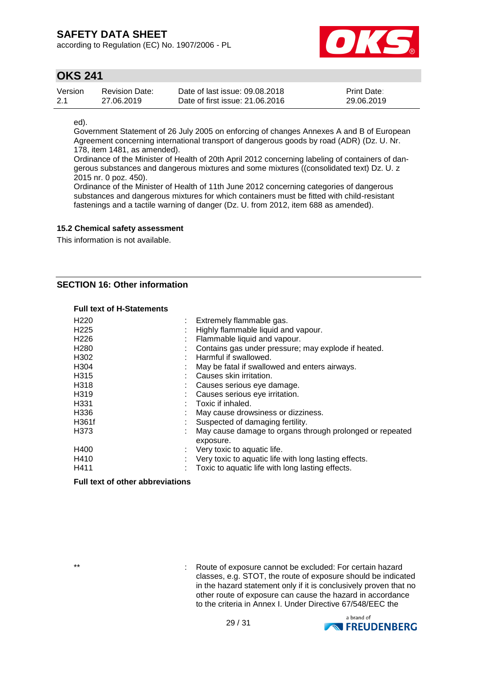according to Regulation (EC) No. 1907/2006 - PL

![](_page_28_Picture_2.jpeg)

### **OKS 241**

| Version | Revision Date: | Date of last issue: 09.08.2018  | <b>Print Date:</b> |
|---------|----------------|---------------------------------|--------------------|
| 2.1     | 27.06.2019     | Date of first issue: 21.06.2016 | 29.06.2019         |

ed).

Government Statement of 26 July 2005 on enforcing of changes Annexes A and B of European Agreement concerning international transport of dangerous goods by road (ADR) (Dz. U. Nr. 178, item 1481, as amended).

Ordinance of the Minister of Health of 20th April 2012 concerning labeling of containers of dangerous substances and dangerous mixtures and some mixtures ((consolidated text) Dz. U. z 2015 nr. 0 poz. 450).

Ordinance of the Minister of Health of 11th June 2012 concerning categories of dangerous substances and dangerous mixtures for which containers must be fitted with child-resistant fastenings and a tactile warning of danger (Dz. U. from 2012, item 688 as amended).

### **15.2 Chemical safety assessment**

This information is not available.

### **SECTION 16: Other information**

#### **Full text of H-Statements**

| H <sub>220</sub> | : Extremely flammable gas.                                            |
|------------------|-----------------------------------------------------------------------|
| H <sub>225</sub> | Highly flammable liquid and vapour.                                   |
| H <sub>226</sub> | Flammable liquid and vapour.                                          |
| H <sub>280</sub> | Contains gas under pressure; may explode if heated.                   |
| H <sub>302</sub> | Harmful if swallowed.                                                 |
| H <sub>304</sub> | May be fatal if swallowed and enters airways.                         |
| H <sub>315</sub> | Causes skin irritation.                                               |
| H318             | Causes serious eye damage.                                            |
| H319             | Causes serious eye irritation.                                        |
| H <sub>331</sub> | Toxic if inhaled.                                                     |
| H336             | May cause drowsiness or dizziness.                                    |
| H361f            | Suspected of damaging fertility.                                      |
| H373             | May cause damage to organs through prolonged or repeated<br>exposure. |
| H400             | $\therefore$ Very toxic to aquatic life.                              |
| H410             | Very toxic to aquatic life with long lasting effects.                 |
| H411             | Toxic to aquatic life with long lasting effects.                      |

### **Full text of other abbreviations**

\*\* : Route of exposure cannot be excluded: For certain hazard classes, e.g. STOT, the route of exposure should be indicated in the hazard statement only if it is conclusively proven that no other route of exposure can cause the hazard in accordance to the criteria in Annex I. Under Directive 67/548/EEC the

![](_page_28_Picture_17.jpeg)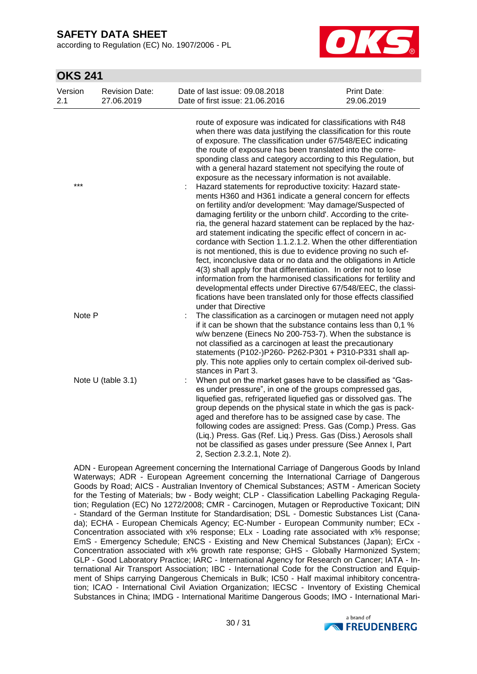according to Regulation (EC) No. 1907/2006 - PL

![](_page_29_Picture_2.jpeg)

## **OKS 241**

| Version<br>2.1 | <b>Revision Date:</b><br>27.06.2019 | Date of last issue: 09.08.2018<br>Date of first issue: 21.06.2016                                                                                                                                                                                                                                                                                                                                                                                                                                                                                                                                                                                                                                                                                                                                                                                                                                          | Print Date:<br>29.06.2019                                                                                                                                                                                                                                                                                                                                                             |  |
|----------------|-------------------------------------|------------------------------------------------------------------------------------------------------------------------------------------------------------------------------------------------------------------------------------------------------------------------------------------------------------------------------------------------------------------------------------------------------------------------------------------------------------------------------------------------------------------------------------------------------------------------------------------------------------------------------------------------------------------------------------------------------------------------------------------------------------------------------------------------------------------------------------------------------------------------------------------------------------|---------------------------------------------------------------------------------------------------------------------------------------------------------------------------------------------------------------------------------------------------------------------------------------------------------------------------------------------------------------------------------------|--|
|                |                                     | route of exposure was indicated for classifications with R48<br>when there was data justifying the classification for this route<br>of exposure. The classification under 67/548/EEC indicating<br>the route of exposure has been translated into the corre-<br>sponding class and category according to this Regulation, but<br>with a general hazard statement not specifying the route of<br>exposure as the necessary information is not available.                                                                                                                                                                                                                                                                                                                                                                                                                                                    |                                                                                                                                                                                                                                                                                                                                                                                       |  |
| $***$          |                                     | Hazard statements for reproductive toxicity: Hazard state-<br>ments H360 and H361 indicate a general concern for effects<br>on fertility and/or development: 'May damage/Suspected of<br>damaging fertility or the unborn child'. According to the crite-<br>ria, the general hazard statement can be replaced by the haz-<br>ard statement indicating the specific effect of concern in ac-<br>cordance with Section 1.1.2.1.2. When the other differentiation<br>is not mentioned, this is due to evidence proving no such ef-<br>fect, inconclusive data or no data and the obligations in Article<br>4(3) shall apply for that differentiation. In order not to lose<br>information from the harmonised classifications for fertility and<br>developmental effects under Directive 67/548/EEC, the classi-<br>fications have been translated only for those effects classified<br>under that Directive |                                                                                                                                                                                                                                                                                                                                                                                       |  |
| Note P         |                                     | stances in Part 3.                                                                                                                                                                                                                                                                                                                                                                                                                                                                                                                                                                                                                                                                                                                                                                                                                                                                                         | The classification as a carcinogen or mutagen need not apply<br>if it can be shown that the substance contains less than 0.1 %<br>w/w benzene (Einecs No 200-753-7). When the substance is<br>not classified as a carcinogen at least the precautionary<br>statements (P102-)P260- P262-P301 + P310-P331 shall ap-<br>ply. This note applies only to certain complex oil-derived sub- |  |
|                | Note U (table 3.1)                  | When put on the market gases have to be classified as "Gas-<br>es under pressure", in one of the groups compressed gas,<br>liquefied gas, refrigerated liquefied gas or dissolved gas. The<br>group depends on the physical state in which the gas is pack-<br>aged and therefore has to be assigned case by case. The<br>following codes are assigned: Press. Gas (Comp.) Press. Gas<br>(Liq.) Press. Gas (Ref. Liq.) Press. Gas (Diss.) Aerosols shall<br>not be classified as gases under pressure (See Annex I, Part<br>2, Section 2.3.2.1, Note 2).                                                                                                                                                                                                                                                                                                                                                   |                                                                                                                                                                                                                                                                                                                                                                                       |  |

ADN - European Agreement concerning the International Carriage of Dangerous Goods by Inland Waterways; ADR - European Agreement concerning the International Carriage of Dangerous Goods by Road; AICS - Australian Inventory of Chemical Substances; ASTM - American Society for the Testing of Materials; bw - Body weight; CLP - Classification Labelling Packaging Regulation; Regulation (EC) No 1272/2008; CMR - Carcinogen, Mutagen or Reproductive Toxicant; DIN - Standard of the German Institute for Standardisation; DSL - Domestic Substances List (Canada); ECHA - European Chemicals Agency; EC-Number - European Community number; ECx - Concentration associated with x% response; ELx - Loading rate associated with x% response; EmS - Emergency Schedule; ENCS - Existing and New Chemical Substances (Japan); ErCx - Concentration associated with x% growth rate response; GHS - Globally Harmonized System; GLP - Good Laboratory Practice; IARC - International Agency for Research on Cancer; IATA - International Air Transport Association; IBC - International Code for the Construction and Equipment of Ships carrying Dangerous Chemicals in Bulk; IC50 - Half maximal inhibitory concentration; ICAO - International Civil Aviation Organization; IECSC - Inventory of Existing Chemical Substances in China; IMDG - International Maritime Dangerous Goods; IMO - International Mari-

![](_page_29_Picture_6.jpeg)